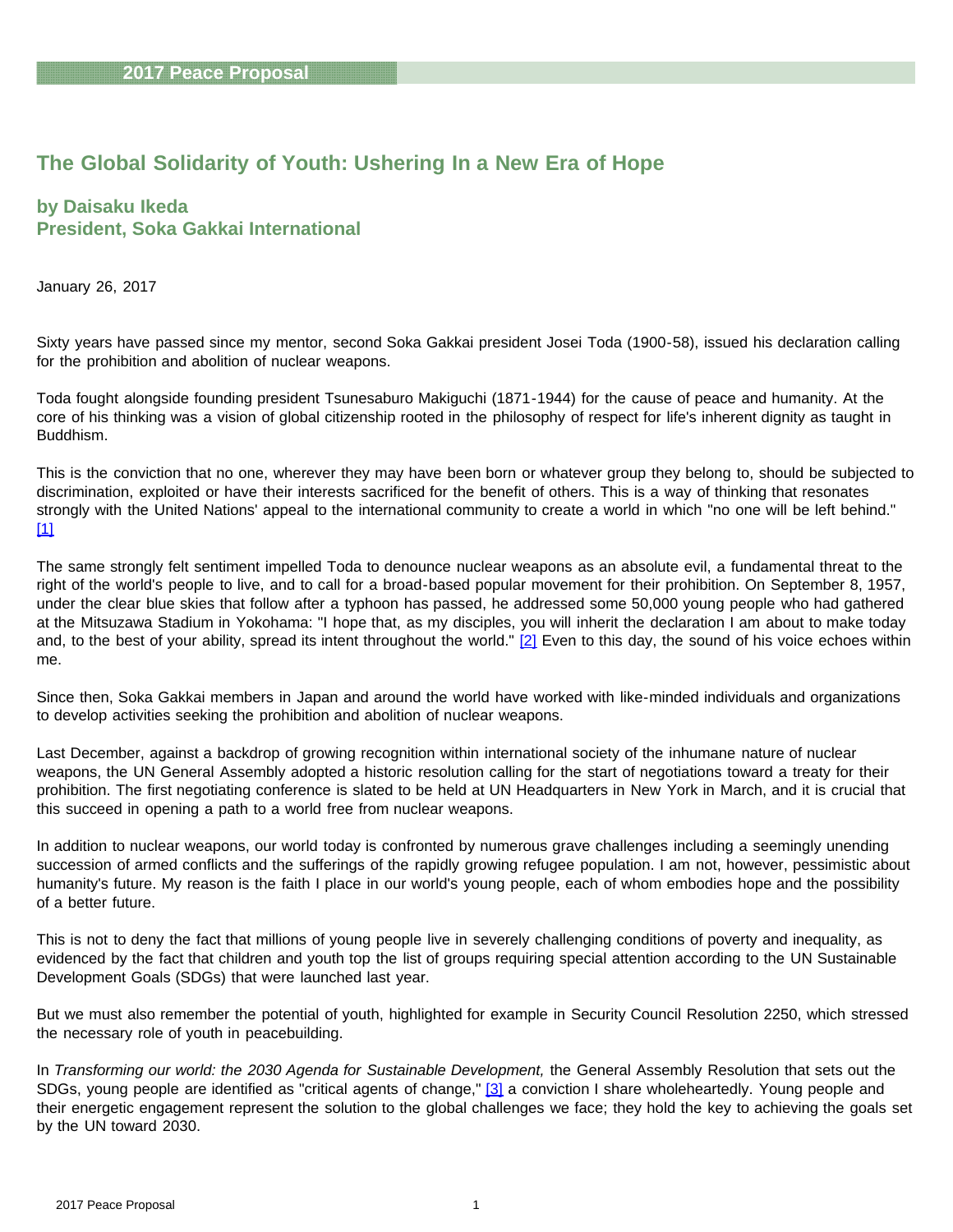# **The Global Solidarity of Youth: Ushering In a New Era of Hope**

### **by Daisaku Ikeda President, Soka Gakkai International**

January 26, 2017

Sixty years have passed since my mentor, second Soka Gakkai president Josei Toda (1900-58), issued his declaration calling for the prohibition and abolition of nuclear weapons.

Toda fought alongside founding president Tsunesaburo Makiguchi (1871-1944) for the cause of peace and humanity. At the core of his thinking was a vision of global citizenship rooted in the philosophy of respect for life's inherent dignity as taught in Buddhism.

<span id="page-0-0"></span>This is the conviction that no one, wherever they may have been born or whatever group they belong to, should be subjected to discrimination, exploited or have their interests sacrificed for the benefit of others. This is a way of thinking that resonates strongly with the United Nations' appeal to the international community to create a world in which "no one will be left behind." [\[1\]](#page-23-0)

The same strongly felt sentiment impelled Toda to denounce nuclear weapons as an absolute evil, a fundamental threat to the right of the world's people to live, and to call for a broad-based popular movement for their prohibition. On September 8, 1957, under the clear blue skies that follow after a typhoon has passed, he addressed some 50,000 young people who had gathered at the Mitsuzawa Stadium in Yokohama: "I hope that, as my disciples, you will inherit the declaration I am about to make today and, to the best of your ability, spread its intent throughout the world." [\[2\]](#page-23-0) Even to this day, the sound of his voice echoes within me.

<span id="page-0-1"></span>Since then, Soka Gakkai members in Japan and around the world have worked with like-minded individuals and organizations to develop activities seeking the prohibition and abolition of nuclear weapons.

Last December, against a backdrop of growing recognition within international society of the inhumane nature of nuclear weapons, the UN General Assembly adopted a historic resolution calling for the start of negotiations toward a treaty for their prohibition. The first negotiating conference is slated to be held at UN Headquarters in New York in March, and it is crucial that this succeed in opening a path to a world free from nuclear weapons.

In addition to nuclear weapons, our world today is confronted by numerous grave challenges including a seemingly unending succession of armed conflicts and the sufferings of the rapidly growing refugee population. I am not, however, pessimistic about humanity's future. My reason is the faith I place in our world's young people, each of whom embodies hope and the possibility of a better future.

This is not to deny the fact that millions of young people live in severely challenging conditions of poverty and inequality, as evidenced by the fact that children and youth top the list of groups requiring special attention according to the UN Sustainable Development Goals (SDGs) that were launched last year.

But we must also remember the potential of youth, highlighted for example in Security Council Resolution 2250, which stressed the necessary role of youth in peacebuilding.

<span id="page-0-2"></span>In *Transforming our world: the 2030 Agenda for Sustainable Development,* the General Assembly Resolution that sets out the SDGs, young people are identified as "critical agents of change," [\[3\]](#page-23-0) a conviction I share wholeheartedly. Young people and their energetic engagement represent the solution to the global challenges we face; they hold the key to achieving the goals set by the UN toward 2030.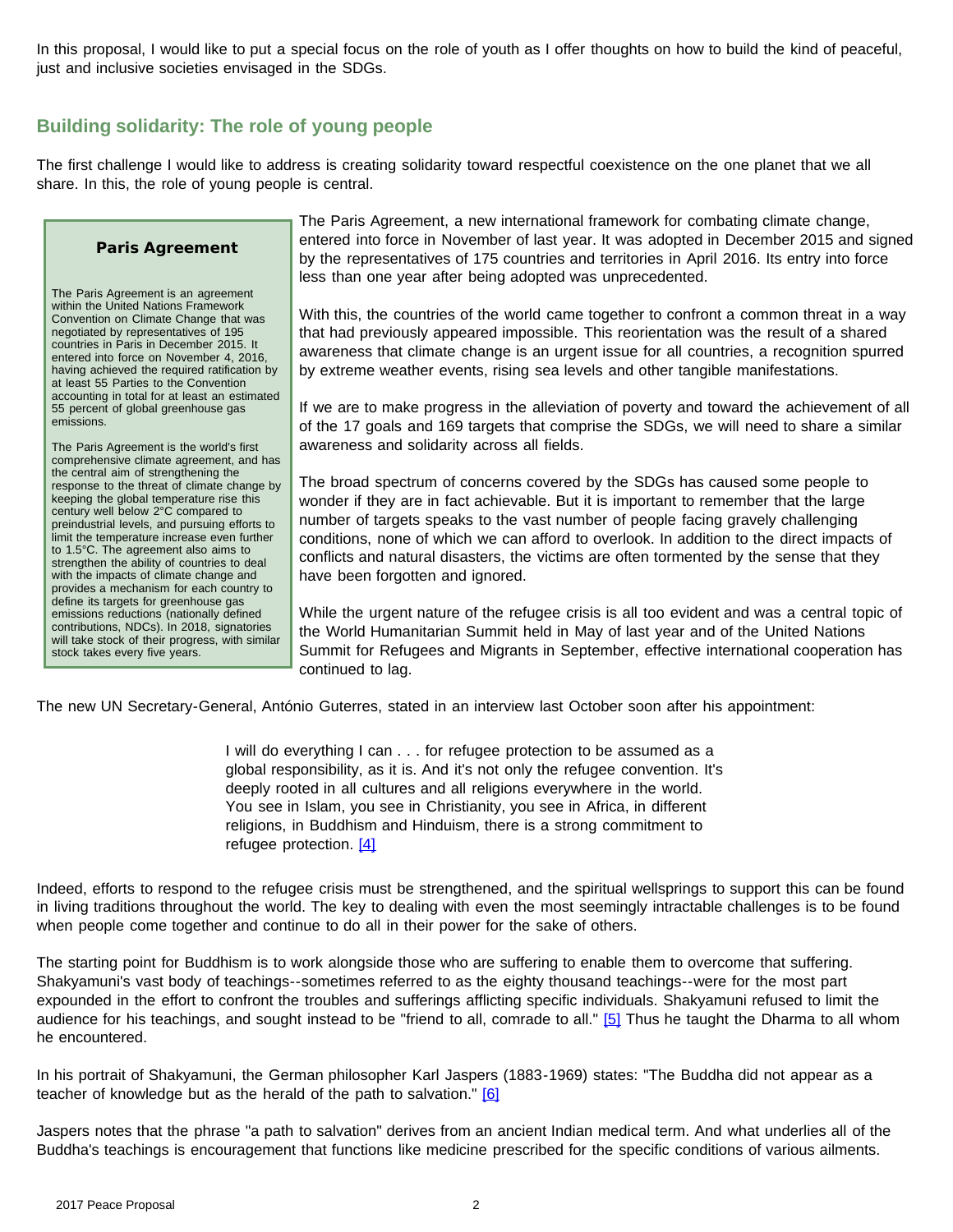In this proposal, I would like to put a special focus on the role of youth as I offer thoughts on how to build the kind of peaceful, just and inclusive societies envisaged in the SDGs.

# **Building solidarity: The role of young people**

The first challenge I would like to address is creating solidarity toward respectful coexistence on the one planet that we all share. In this, the role of young people is central.

#### **Paris Agreement**

The Paris Agreement is an agreement within the United Nations Framework Convention on Climate Change that was negotiated by representatives of 195 countries in Paris in December 2015. It entered into force on November 4, 2016, having achieved the required ratification by at least 55 Parties to the Convention accounting in total for at least an estimated 55 percent of global greenhouse gas emissions.

The Paris Agreement is the world's first comprehensive climate agreement, and has the central aim of strengthening the response to the threat of climate change by keeping the global temperature rise this century well below 2°C compared to preindustrial levels, and pursuing efforts to limit the temperature increase even further to 1.5°C. The agreement also aims to strengthen the ability of countries to deal with the impacts of climate change and provides a mechanism for each country to define its targets for greenhouse gas emissions reductions (nationally defined contributions, NDCs). In 2018, signatories will take stock of their progress, with similar stock takes every five years.

The Paris Agreement, a new international framework for combating climate change, entered into force in November of last year. It was adopted in December 2015 and signed by the representatives of 175 countries and territories in April 2016. Its entry into force less than one year after being adopted was unprecedented.

With this, the countries of the world came together to confront a common threat in a way that had previously appeared impossible. This reorientation was the result of a shared awareness that climate change is an urgent issue for all countries, a recognition spurred by extreme weather events, rising sea levels and other tangible manifestations.

If we are to make progress in the alleviation of poverty and toward the achievement of all of the 17 goals and 169 targets that comprise the SDGs, we will need to share a similar awareness and solidarity across all fields.

The broad spectrum of concerns covered by the SDGs has caused some people to wonder if they are in fact achievable. But it is important to remember that the large number of targets speaks to the vast number of people facing gravely challenging conditions, none of which we can afford to overlook. In addition to the direct impacts of conflicts and natural disasters, the victims are often tormented by the sense that they have been forgotten and ignored.

While the urgent nature of the refugee crisis is all too evident and was a central topic of the World Humanitarian Summit held in May of last year and of the United Nations Summit for Refugees and Migrants in September, effective international cooperation has continued to lag.

The new UN Secretary-General, António Guterres, stated in an interview last October soon after his appointment:

I will do everything I can . . . for refugee protection to be assumed as a global responsibility, as it is. And it's not only the refugee convention. It's deeply rooted in all cultures and all religions everywhere in the world. You see in Islam, you see in Christianity, you see in Africa, in different religions, in Buddhism and Hinduism, there is a strong commitment to refugee protection. [\[4\]](#page-23-0)

<span id="page-1-0"></span>Indeed, efforts to respond to the refugee crisis must be strengthened, and the spiritual wellsprings to support this can be found in living traditions throughout the world. The key to dealing with even the most seemingly intractable challenges is to be found when people come together and continue to do all in their power for the sake of others.

<span id="page-1-1"></span>The starting point for Buddhism is to work alongside those who are suffering to enable them to overcome that suffering. Shakyamuni's vast body of teachings--sometimes referred to as the eighty thousand teachings--were for the most part expounded in the effort to confront the troubles and sufferings afflicting specific individuals. Shakyamuni refused to limit the audience for his teachings, and sought instead to be "friend to all, comrade to all." [\[5\]](#page-23-0) Thus he taught the Dharma to all whom he encountered.

<span id="page-1-2"></span>In his portrait of Shakyamuni, the German philosopher Karl Jaspers (1883-1969) states: "The Buddha did not appear as a teacher of knowledge but as the herald of the path to salvation." [\[6\]](#page-23-0)

Jaspers notes that the phrase "a path to salvation" derives from an ancient Indian medical term. And what underlies all of the Buddha's teachings is encouragement that functions like medicine prescribed for the specific conditions of various ailments.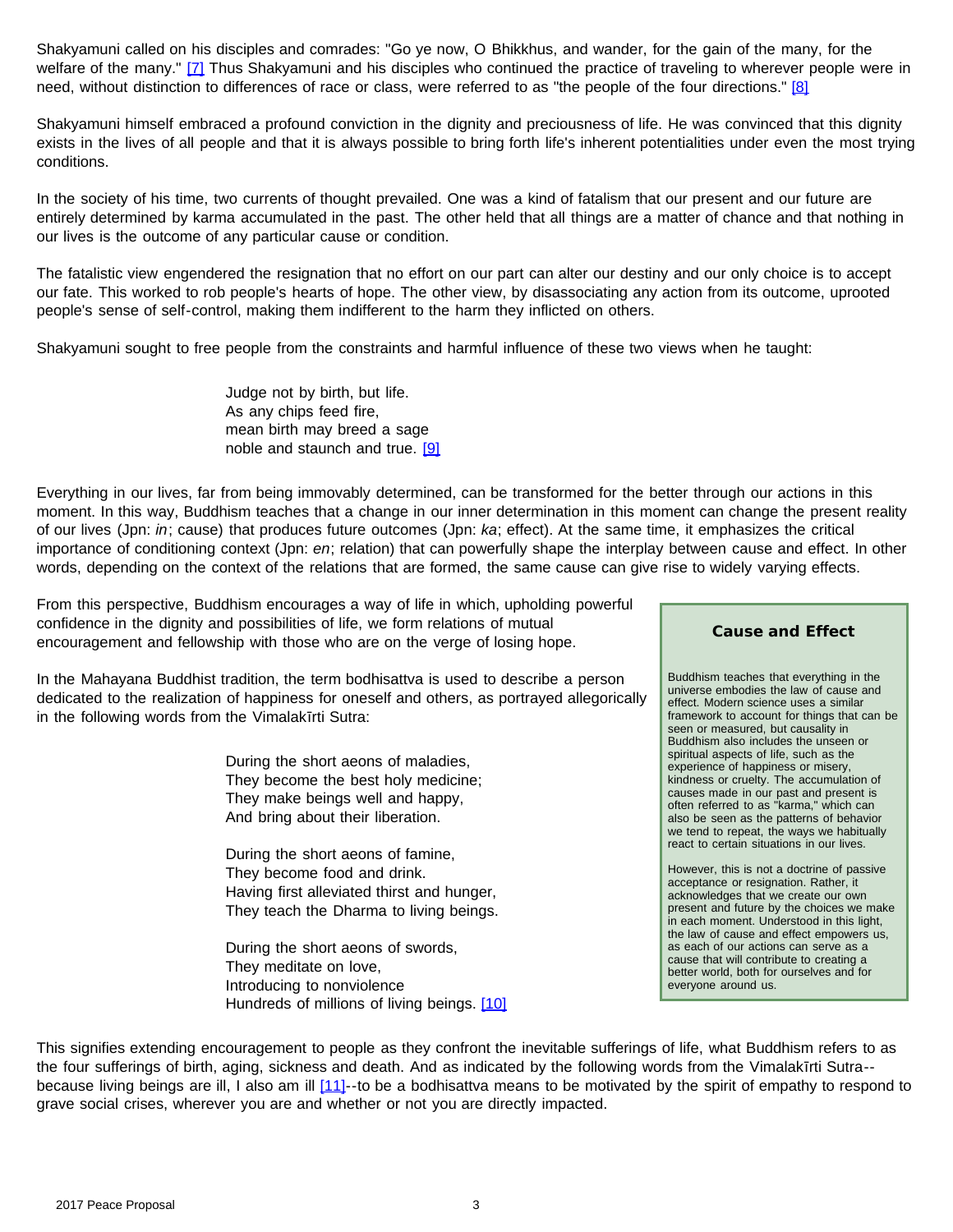<span id="page-2-1"></span><span id="page-2-0"></span>Shakyamuni called on his disciples and comrades: "Go ye now, O Bhikkhus, and wander, for the gain of the many, for the welfare of the many." [\[7\]](#page-23-0) Thus Shakyamuni and his disciples who continued the practice of traveling to wherever people were in need, without distinction to differences of race or class, were referred to as "the people of the four directions." [\[8\]](#page-23-0)

Shakyamuni himself embraced a profound conviction in the dignity and preciousness of life. He was convinced that this dignity exists in the lives of all people and that it is always possible to bring forth life's inherent potentialities under even the most trying conditions.

In the society of his time, two currents of thought prevailed. One was a kind of fatalism that our present and our future are entirely determined by karma accumulated in the past. The other held that all things are a matter of chance and that nothing in our lives is the outcome of any particular cause or condition.

The fatalistic view engendered the resignation that no effort on our part can alter our destiny and our only choice is to accept our fate. This worked to rob people's hearts of hope. The other view, by disassociating any action from its outcome, uprooted people's sense of self-control, making them indifferent to the harm they inflicted on others.

Shakyamuni sought to free people from the constraints and harmful influence of these two views when he taught:

Judge not by birth, but life. As any chips feed fire, mean birth may breed a sage noble and staunch and true. [\[9\]](#page-23-0)

<span id="page-2-2"></span>Everything in our lives, far from being immovably determined, can be transformed for the better through our actions in this moment. In this way, Buddhism teaches that a change in our inner determination in this moment can change the present reality of our lives (Jpn: *in*; cause) that produces future outcomes (Jpn: *ka*; effect). At the same time, it emphasizes the critical importance of conditioning context (Jpn: *en*; relation) that can powerfully shape the interplay between cause and effect. In other words, depending on the context of the relations that are formed, the same cause can give rise to widely varying effects.

From this perspective, Buddhism encourages a way of life in which, upholding powerful confidence in the dignity and possibilities of life, we form relations of mutual encouragement and fellowship with those who are on the verge of losing hope.

In the Mahayana Buddhist tradition, the term bodhisattva is used to describe a person dedicated to the realization of happiness for oneself and others, as portrayed allegorically in the following words from the Vimalakīrti Sutra:

> During the short aeons of maladies, They become the best holy medicine; They make beings well and happy, And bring about their liberation.

During the short aeons of famine, They become food and drink. Having first alleviated thirst and hunger, They teach the Dharma to living beings.

During the short aeons of swords, They meditate on love, Introducing to nonviolence Hundreds of millions of living beings. [\[10\]](#page-23-1)

#### **Cause and Effect**

Buddhism teaches that everything in the universe embodies the law of cause and effect. Modern science uses a similar framework to account for things that can be seen or measured, but causality in Buddhism also includes the unseen or spiritual aspects of life, such as the experience of happiness or misery, kindness or cruelty. The accumulation of causes made in our past and present is often referred to as "karma," which can also be seen as the patterns of behavior we tend to repeat, the ways we habitually react to certain situations in our lives.

However, this is not a doctrine of passive acceptance or resignation. Rather, it acknowledges that we create our own present and future by the choices we make in each moment. Understood in this light, the law of cause and effect empowers us, as each of our actions can serve as a cause that will contribute to creating a better world, both for ourselves and for everyone around us.

<span id="page-2-4"></span><span id="page-2-3"></span>This signifies extending encouragement to people as they confront the inevitable sufferings of life, what Buddhism refers to as the four sufferings of birth, aging, sickness and death. And as indicated by the following words from the Vimalakīrti Sutra-- because living beings are ill, I also am ill [\[11\]-](#page-23-1)-to be a bodhisattva means to be motivated by the spirit of empathy to respond to grave social crises, wherever you are and whether or not you are directly impacted.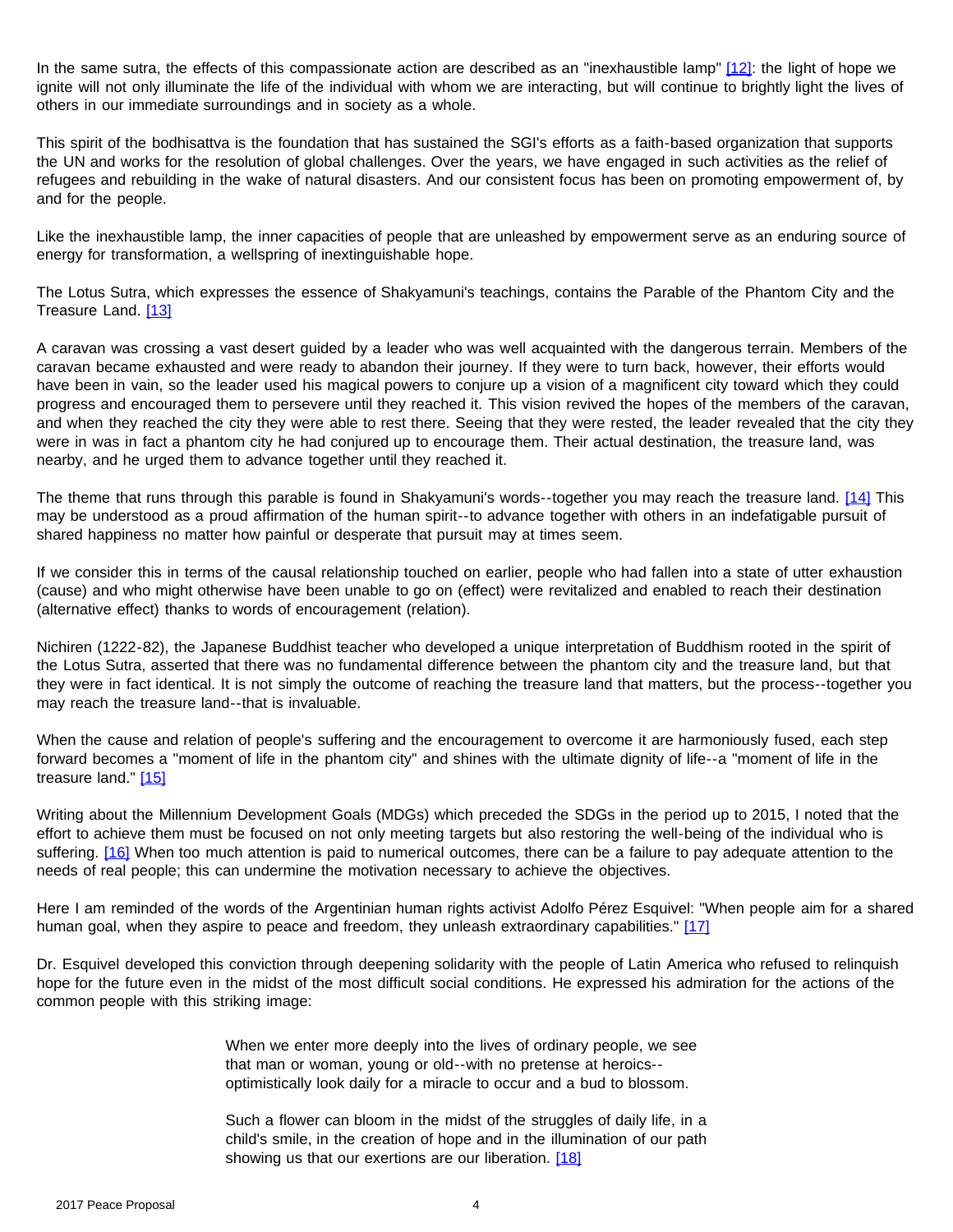<span id="page-3-0"></span>In the same sutra, the effects of this compassionate action are described as an "inexhaustible lamp" [\[12\]:](#page-23-1) the light of hope we ignite will not only illuminate the life of the individual with whom we are interacting, but will continue to brightly light the lives of others in our immediate surroundings and in society as a whole.

This spirit of the bodhisattva is the foundation that has sustained the SGI's efforts as a faith-based organization that supports the UN and works for the resolution of global challenges. Over the years, we have engaged in such activities as the relief of refugees and rebuilding in the wake of natural disasters. And our consistent focus has been on promoting empowerment of, by and for the people.

Like the inexhaustible lamp, the inner capacities of people that are unleashed by empowerment serve as an enduring source of energy for transformation, a wellspring of inextinguishable hope.

<span id="page-3-1"></span>The Lotus Sutra, which expresses the essence of Shakyamuni's teachings, contains the Parable of the Phantom City and the Treasure Land. [\[13\]](#page-23-1)

A caravan was crossing a vast desert guided by a leader who was well acquainted with the dangerous terrain. Members of the caravan became exhausted and were ready to abandon their journey. If they were to turn back, however, their efforts would have been in vain, so the leader used his magical powers to conjure up a vision of a magnificent city toward which they could progress and encouraged them to persevere until they reached it. This vision revived the hopes of the members of the caravan, and when they reached the city they were able to rest there. Seeing that they were rested, the leader revealed that the city they were in was in fact a phantom city he had conjured up to encourage them. Their actual destination, the treasure land, was nearby, and he urged them to advance together until they reached it.

<span id="page-3-2"></span>The theme that runs through this parable is found in Shakyamuni's words--together you may reach the treasure land. [\[14\]](#page-23-1) This may be understood as a proud affirmation of the human spirit--to advance together with others in an indefatigable pursuit of shared happiness no matter how painful or desperate that pursuit may at times seem.

If we consider this in terms of the causal relationship touched on earlier, people who had fallen into a state of utter exhaustion (cause) and who might otherwise have been unable to go on (effect) were revitalized and enabled to reach their destination (alternative effect) thanks to words of encouragement (relation).

Nichiren (1222-82), the Japanese Buddhist teacher who developed a unique interpretation of Buddhism rooted in the spirit of the Lotus Sutra, asserted that there was no fundamental difference between the phantom city and the treasure land, but that they were in fact identical. It is not simply the outcome of reaching the treasure land that matters, but the process--together you may reach the treasure land--that is invaluable.

<span id="page-3-3"></span>When the cause and relation of people's suffering and the encouragement to overcome it are harmoniously fused, each step forward becomes a "moment of life in the phantom city" and shines with the ultimate dignity of life--a "moment of life in the treasure land." [\[15\]](#page-23-1)

<span id="page-3-4"></span>Writing about the Millennium Development Goals (MDGs) which preceded the SDGs in the period up to 2015, I noted that the effort to achieve them must be focused on not only meeting targets but also restoring the well-being of the individual who is suffering. [\[16\]](#page-23-1) When too much attention is paid to numerical outcomes, there can be a failure to pay adequate attention to the needs of real people; this can undermine the motivation necessary to achieve the objectives.

<span id="page-3-5"></span>Here I am reminded of the words of the Argentinian human rights activist Adolfo Pérez Esquivel: "When people aim for a shared human goal, when they aspire to peace and freedom, they unleash extraordinary capabilities." [\[17\]](#page-23-1)

<span id="page-3-6"></span>Dr. Esquivel developed this conviction through deepening solidarity with the people of Latin America who refused to relinquish hope for the future even in the midst of the most difficult social conditions. He expressed his admiration for the actions of the common people with this striking image:

> When we enter more deeply into the lives of ordinary people, we see that man or woman, young or old--with no pretense at heroics- optimistically look daily for a miracle to occur and a bud to blossom.

Such a flower can bloom in the midst of the struggles of daily life, in a child's smile, in the creation of hope and in the illumination of our path showing us that our exertions are our liberation. [\[18\]](#page-23-1)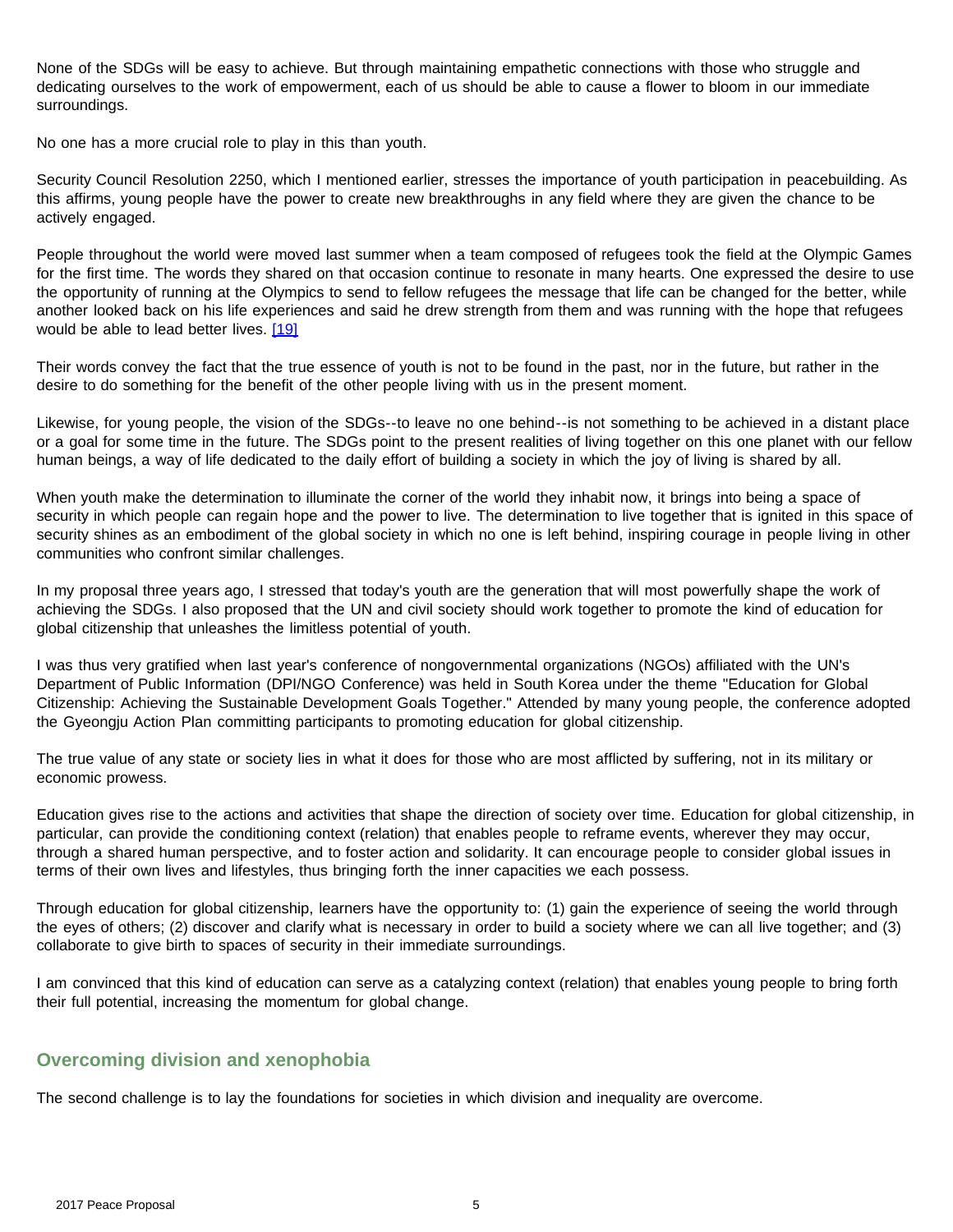None of the SDGs will be easy to achieve. But through maintaining empathetic connections with those who struggle and dedicating ourselves to the work of empowerment, each of us should be able to cause a flower to bloom in our immediate surroundings.

No one has a more crucial role to play in this than youth.

Security Council Resolution 2250, which I mentioned earlier, stresses the importance of youth participation in peacebuilding. As this affirms, young people have the power to create new breakthroughs in any field where they are given the chance to be actively engaged.

People throughout the world were moved last summer when a team composed of refugees took the field at the Olympic Games for the first time. The words they shared on that occasion continue to resonate in many hearts. One expressed the desire to use the opportunity of running at the Olympics to send to fellow refugees the message that life can be changed for the better, while another looked back on his life experiences and said he drew strength from them and was running with the hope that refugees would be able to lead better lives. [\[19\]](#page-23-1)

<span id="page-4-0"></span>Their words convey the fact that the true essence of youth is not to be found in the past, nor in the future, but rather in the desire to do something for the benefit of the other people living with us in the present moment.

Likewise, for young people, the vision of the SDGs--to leave no one behind--is not something to be achieved in a distant place or a goal for some time in the future. The SDGs point to the present realities of living together on this one planet with our fellow human beings, a way of life dedicated to the daily effort of building a society in which the joy of living is shared by all.

When youth make the determination to illuminate the corner of the world they inhabit now, it brings into being a space of security in which people can regain hope and the power to live. The determination to live together that is ignited in this space of security shines as an embodiment of the global society in which no one is left behind, inspiring courage in people living in other communities who confront similar challenges.

In my proposal three years ago, I stressed that today's youth are the generation that will most powerfully shape the work of achieving the SDGs. I also proposed that the UN and civil society should work together to promote the kind of education for global citizenship that unleashes the limitless potential of youth.

I was thus very gratified when last year's conference of nongovernmental organizations (NGOs) affiliated with the UN's Department of Public Information (DPI/NGO Conference) was held in South Korea under the theme "Education for Global Citizenship: Achieving the Sustainable Development Goals Together." Attended by many young people, the conference adopted the Gyeongju Action Plan committing participants to promoting education for global citizenship.

The true value of any state or society lies in what it does for those who are most afflicted by suffering, not in its military or economic prowess.

Education gives rise to the actions and activities that shape the direction of society over time. Education for global citizenship, in particular, can provide the conditioning context (relation) that enables people to reframe events, wherever they may occur, through a shared human perspective, and to foster action and solidarity. It can encourage people to consider global issues in terms of their own lives and lifestyles, thus bringing forth the inner capacities we each possess.

Through education for global citizenship, learners have the opportunity to: (1) gain the experience of seeing the world through the eyes of others; (2) discover and clarify what is necessary in order to build a society where we can all live together; and (3) collaborate to give birth to spaces of security in their immediate surroundings.

I am convinced that this kind of education can serve as a catalyzing context (relation) that enables young people to bring forth their full potential, increasing the momentum for global change.

### **Overcoming division and xenophobia**

The second challenge is to lay the foundations for societies in which division and inequality are overcome.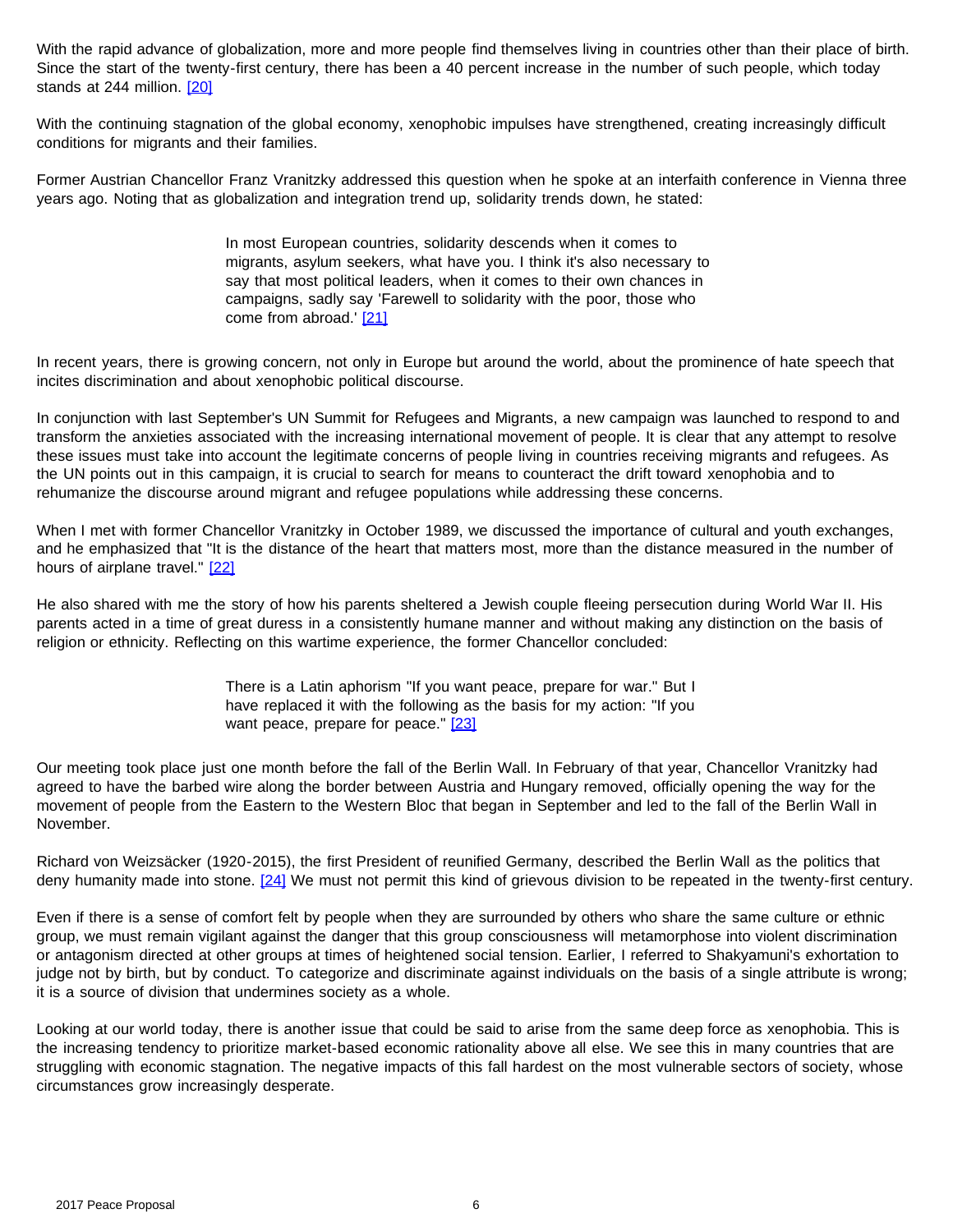With the rapid advance of globalization, more and more people find themselves living in countries other than their place of birth. Since the start of the twenty-first century, there has been a 40 percent increase in the number of such people, which today stands at 244 million. [\[20\]](#page-23-2)

<span id="page-5-0"></span>With the continuing stagnation of the global economy, xenophobic impulses have strengthened, creating increasingly difficult conditions for migrants and their families.

Former Austrian Chancellor Franz Vranitzky addressed this question when he spoke at an interfaith conference in Vienna three years ago. Noting that as globalization and integration trend up, solidarity trends down, he stated:

> In most European countries, solidarity descends when it comes to migrants, asylum seekers, what have you. I think it's also necessary to say that most political leaders, when it comes to their own chances in campaigns, sadly say 'Farewell to solidarity with the poor, those who come from abroad.' [\[21\]](#page-23-2)

<span id="page-5-1"></span>In recent years, there is growing concern, not only in Europe but around the world, about the prominence of hate speech that incites discrimination and about xenophobic political discourse.

In conjunction with last September's UN Summit for Refugees and Migrants, a new campaign was launched to respond to and transform the anxieties associated with the increasing international movement of people. It is clear that any attempt to resolve these issues must take into account the legitimate concerns of people living in countries receiving migrants and refugees. As the UN points out in this campaign, it is crucial to search for means to counteract the drift toward xenophobia and to rehumanize the discourse around migrant and refugee populations while addressing these concerns.

<span id="page-5-2"></span>When I met with former Chancellor Vranitzky in October 1989, we discussed the importance of cultural and youth exchanges, and he emphasized that "It is the distance of the heart that matters most, more than the distance measured in the number of hours of airplane travel." [\[22\]](#page-23-2)

He also shared with me the story of how his parents sheltered a Jewish couple fleeing persecution during World War II. His parents acted in a time of great duress in a consistently humane manner and without making any distinction on the basis of religion or ethnicity. Reflecting on this wartime experience, the former Chancellor concluded:

> There is a Latin aphorism "If you want peace, prepare for war." But I have replaced it with the following as the basis for my action: "If you want peace, prepare for peace." [\[23\]](#page-23-2)

<span id="page-5-3"></span>Our meeting took place just one month before the fall of the Berlin Wall. In February of that year, Chancellor Vranitzky had agreed to have the barbed wire along the border between Austria and Hungary removed, officially opening the way for the movement of people from the Eastern to the Western Bloc that began in September and led to the fall of the Berlin Wall in November.

<span id="page-5-4"></span>Richard von Weizsäcker (1920-2015), the first President of reunified Germany, described the Berlin Wall as the politics that deny humanity made into stone. [\[24\]](#page-23-2) We must not permit this kind of grievous division to be repeated in the twenty-first century.

Even if there is a sense of comfort felt by people when they are surrounded by others who share the same culture or ethnic group, we must remain vigilant against the danger that this group consciousness will metamorphose into violent discrimination or antagonism directed at other groups at times of heightened social tension. Earlier, I referred to Shakyamuni's exhortation to judge not by birth, but by conduct. To categorize and discriminate against individuals on the basis of a single attribute is wrong; it is a source of division that undermines society as a whole.

Looking at our world today, there is another issue that could be said to arise from the same deep force as xenophobia. This is the increasing tendency to prioritize market-based economic rationality above all else. We see this in many countries that are struggling with economic stagnation. The negative impacts of this fall hardest on the most vulnerable sectors of society, whose circumstances grow increasingly desperate.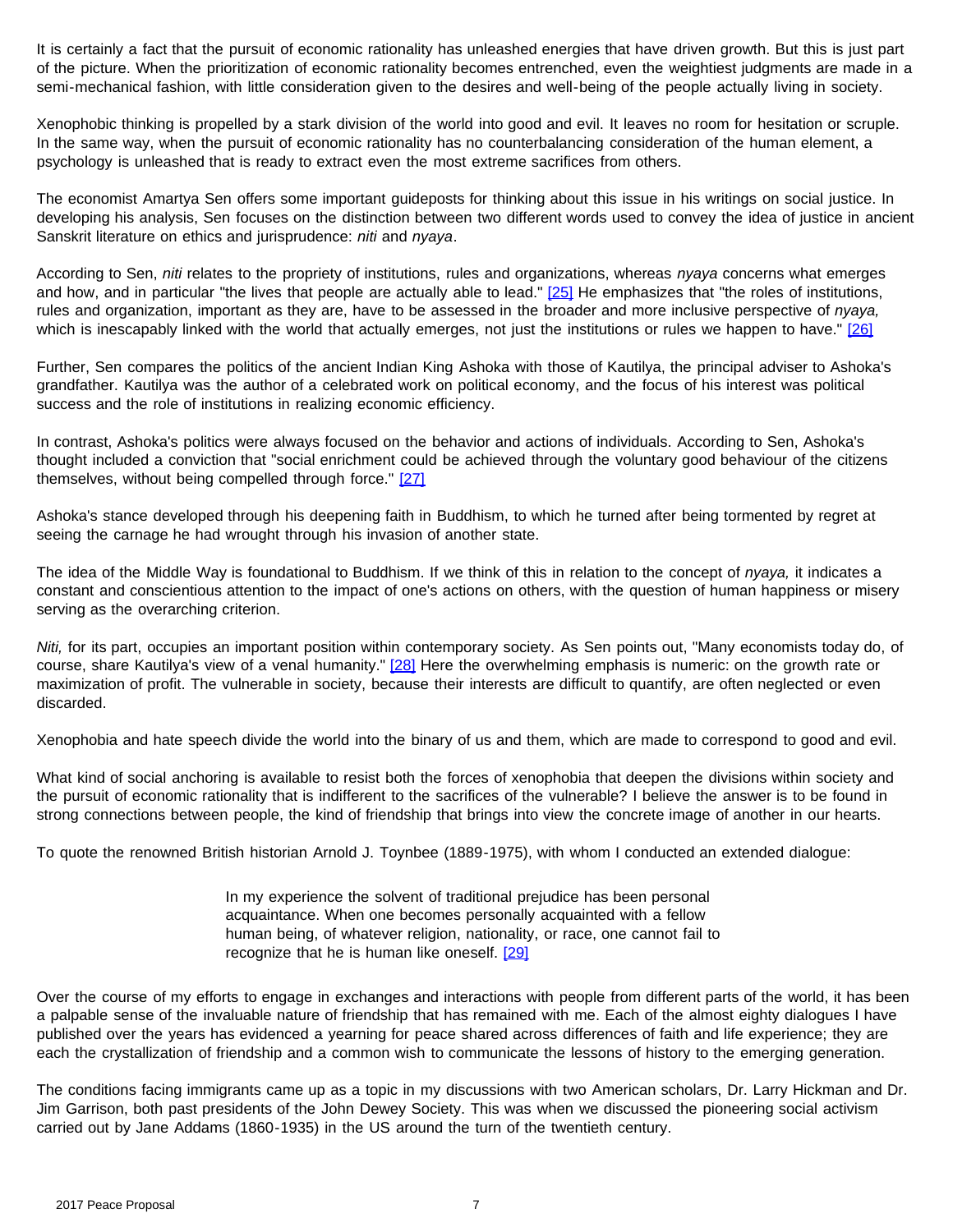It is certainly a fact that the pursuit of economic rationality has unleashed energies that have driven growth. But this is just part of the picture. When the prioritization of economic rationality becomes entrenched, even the weightiest judgments are made in a semi-mechanical fashion, with little consideration given to the desires and well-being of the people actually living in society.

Xenophobic thinking is propelled by a stark division of the world into good and evil. It leaves no room for hesitation or scruple. In the same way, when the pursuit of economic rationality has no counterbalancing consideration of the human element, a psychology is unleashed that is ready to extract even the most extreme sacrifices from others.

The economist Amartya Sen offers some important guideposts for thinking about this issue in his writings on social justice. In developing his analysis, Sen focuses on the distinction between two different words used to convey the idea of justice in ancient Sanskrit literature on ethics and jurisprudence: *niti* and *nyaya*.

<span id="page-6-0"></span>According to Sen, *niti* relates to the propriety of institutions, rules and organizations, whereas *nyaya* concerns what emerges and how, and in particular "the lives that people are actually able to lead."  $[25]$  He emphasizes that "the roles of institutions, rules and organization, important as they are, have to be assessed in the broader and more inclusive perspective of *nyaya,* which is inescapably linked with the world that actually emerges, not just the institutions or rules we happen to have." [\[26\]](#page-23-2)

<span id="page-6-1"></span>Further, Sen compares the politics of the ancient Indian King Ashoka with those of Kautilya, the principal adviser to Ashoka's grandfather. Kautilya was the author of a celebrated work on political economy, and the focus of his interest was political success and the role of institutions in realizing economic efficiency.

<span id="page-6-2"></span>In contrast, Ashoka's politics were always focused on the behavior and actions of individuals. According to Sen, Ashoka's thought included a conviction that "social enrichment could be achieved through the voluntary good behaviour of the citizens themselves, without being compelled through force." [\[27\]](#page-23-2)

Ashoka's stance developed through his deepening faith in Buddhism, to which he turned after being tormented by regret at seeing the carnage he had wrought through his invasion of another state.

The idea of the Middle Way is foundational to Buddhism. If we think of this in relation to the concept of *nyaya,* it indicates a constant and conscientious attention to the impact of one's actions on others, with the question of human happiness or misery serving as the overarching criterion.

<span id="page-6-3"></span>*Niti,* for its part, occupies an important position within contemporary society. As Sen points out, "Many economists today do, of course, share Kautilya's view of a venal humanity." [\[28\]](#page-23-2) Here the overwhelming emphasis is numeric: on the growth rate or maximization of profit. The vulnerable in society, because their interests are difficult to quantify, are often neglected or even discarded.

Xenophobia and hate speech divide the world into the binary of us and them, which are made to correspond to good and evil.

What kind of social anchoring is available to resist both the forces of xenophobia that deepen the divisions within society and the pursuit of economic rationality that is indifferent to the sacrifices of the vulnerable? I believe the answer is to be found in strong connections between people, the kind of friendship that brings into view the concrete image of another in our hearts.

To quote the renowned British historian Arnold J. Toynbee (1889-1975), with whom I conducted an extended dialogue:

In my experience the solvent of traditional prejudice has been personal acquaintance. When one becomes personally acquainted with a fellow human being, of whatever religion, nationality, or race, one cannot fail to recognize that he is human like oneself. [\[29\]](#page-23-2)

<span id="page-6-4"></span>Over the course of my efforts to engage in exchanges and interactions with people from different parts of the world, it has been a palpable sense of the invaluable nature of friendship that has remained with me. Each of the almost eighty dialogues I have published over the years has evidenced a yearning for peace shared across differences of faith and life experience; they are each the crystallization of friendship and a common wish to communicate the lessons of history to the emerging generation.

The conditions facing immigrants came up as a topic in my discussions with two American scholars, Dr. Larry Hickman and Dr. Jim Garrison, both past presidents of the John Dewey Society. This was when we discussed the pioneering social activism carried out by Jane Addams (1860-1935) in the US around the turn of the twentieth century.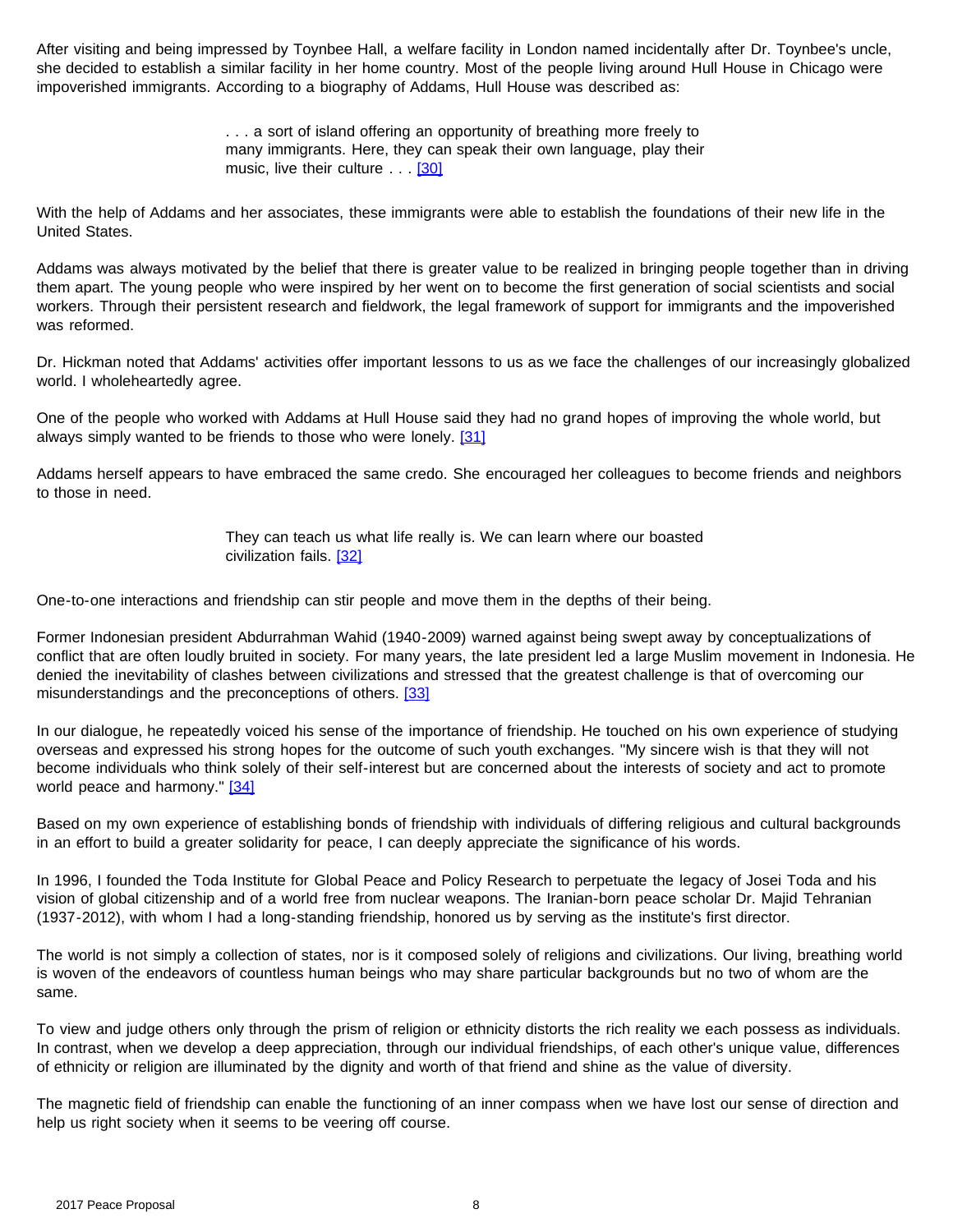After visiting and being impressed by Toynbee Hall, a welfare facility in London named incidentally after Dr. Toynbee's uncle, she decided to establish a similar facility in her home country. Most of the people living around Hull House in Chicago were impoverished immigrants. According to a biography of Addams, Hull House was described as:

> . . . a sort of island offering an opportunity of breathing more freely to many immigrants. Here, they can speak their own language, play their music, live their culture . . [\[30\]](#page-23-3)

<span id="page-7-0"></span>With the help of Addams and her associates, these immigrants were able to establish the foundations of their new life in the United States.

Addams was always motivated by the belief that there is greater value to be realized in bringing people together than in driving them apart. The young people who were inspired by her went on to become the first generation of social scientists and social workers. Through their persistent research and fieldwork, the legal framework of support for immigrants and the impoverished was reformed.

Dr. Hickman noted that Addams' activities offer important lessons to us as we face the challenges of our increasingly globalized world. I wholeheartedly agree.

<span id="page-7-1"></span>One of the people who worked with Addams at Hull House said they had no grand hopes of improving the whole world, but always simply wanted to be friends to those who were lonely. [\[31\]](#page-23-3)

Addams herself appears to have embraced the same credo. She encouraged her colleagues to become friends and neighbors to those in need.

> They can teach us what life really is. We can learn where our boasted civilization fails. [\[32\]](#page-23-3)

<span id="page-7-2"></span>One-to-one interactions and friendship can stir people and move them in the depths of their being.

Former Indonesian president Abdurrahman Wahid (1940-2009) warned against being swept away by conceptualizations of conflict that are often loudly bruited in society. For many years, the late president led a large Muslim movement in Indonesia. He denied the inevitability of clashes between civilizations and stressed that the greatest challenge is that of overcoming our misunderstandings and the preconceptions of others. [\[33\]](#page-23-3)

<span id="page-7-3"></span>In our dialogue, he repeatedly voiced his sense of the importance of friendship. He touched on his own experience of studying overseas and expressed his strong hopes for the outcome of such youth exchanges. "My sincere wish is that they will not become individuals who think solely of their self-interest but are concerned about the interests of society and act to promote world peace and harmony." [\[34\]](#page-23-3)

<span id="page-7-4"></span>Based on my own experience of establishing bonds of friendship with individuals of differing religious and cultural backgrounds in an effort to build a greater solidarity for peace, I can deeply appreciate the significance of his words.

In 1996, I founded the Toda Institute for Global Peace and Policy Research to perpetuate the legacy of Josei Toda and his vision of global citizenship and of a world free from nuclear weapons. The Iranian-born peace scholar Dr. Majid Tehranian (1937-2012), with whom I had a long-standing friendship, honored us by serving as the institute's first director.

The world is not simply a collection of states, nor is it composed solely of religions and civilizations. Our living, breathing world is woven of the endeavors of countless human beings who may share particular backgrounds but no two of whom are the same.

To view and judge others only through the prism of religion or ethnicity distorts the rich reality we each possess as individuals. In contrast, when we develop a deep appreciation, through our individual friendships, of each other's unique value, differences of ethnicity or religion are illuminated by the dignity and worth of that friend and shine as the value of diversity.

The magnetic field of friendship can enable the functioning of an inner compass when we have lost our sense of direction and help us right society when it seems to be veering off course.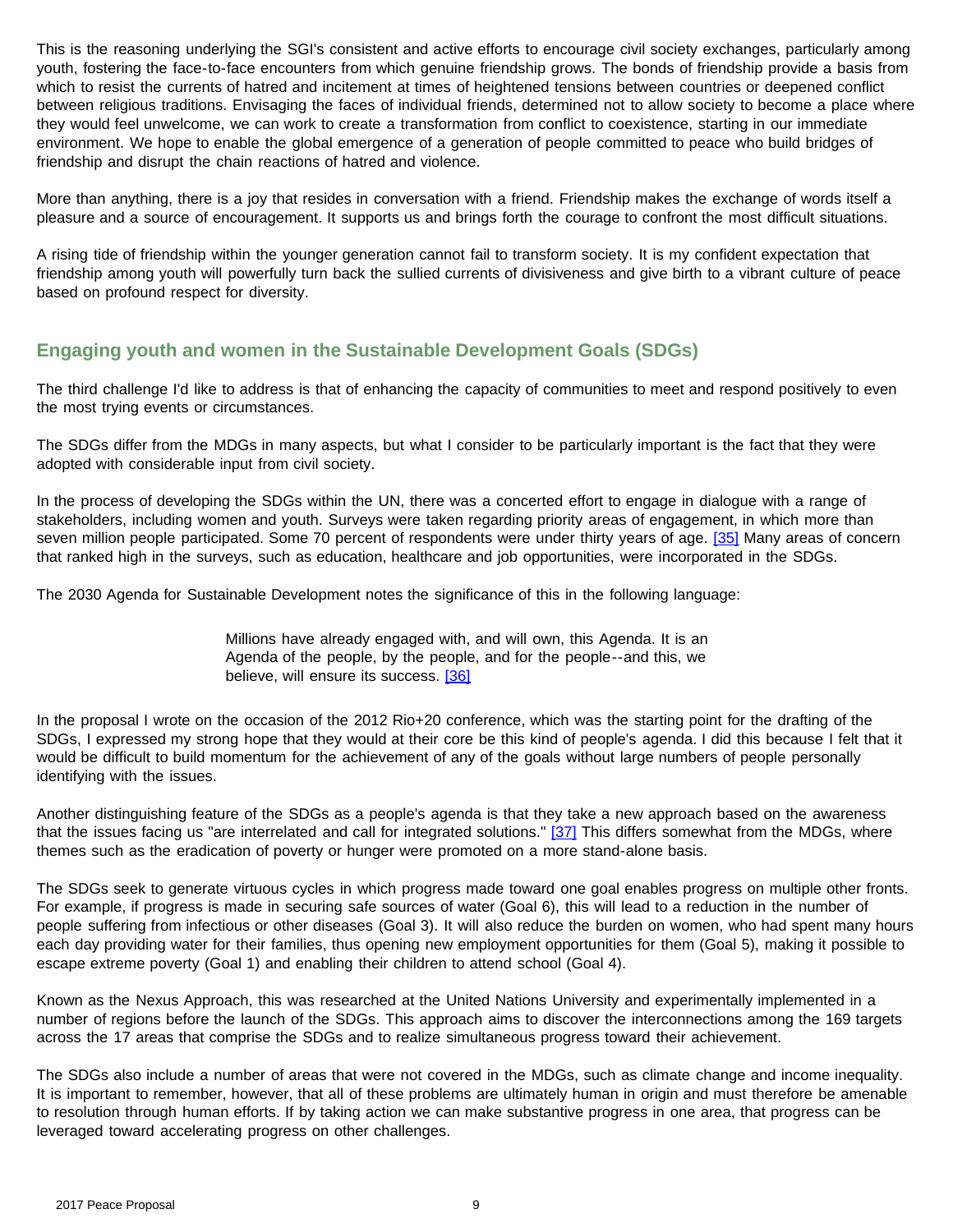This is the reasoning underlying the SGI's consistent and active efforts to encourage civil society exchanges, particularly among youth, fostering the face-to-face encounters from which genuine friendship grows. The bonds of friendship provide a basis from which to resist the currents of hatred and incitement at times of heightened tensions between countries or deepened conflict between religious traditions. Envisaging the faces of individual friends, determined not to allow society to become a place where they would feel unwelcome, we can work to create a transformation from conflict to coexistence, starting in our immediate environment. We hope to enable the global emergence of a generation of people committed to peace who build bridges of friendship and disrupt the chain reactions of hatred and violence.

More than anything, there is a joy that resides in conversation with a friend. Friendship makes the exchange of words itself a pleasure and a source of encouragement. It supports us and brings forth the courage to confront the most difficult situations.

A rising tide of friendship within the younger generation cannot fail to transform society. It is my confident expectation that friendship among youth will powerfully turn back the sullied currents of divisiveness and give birth to a vibrant culture of peace based on profound respect for diversity.

## **Engaging youth and women in the Sustainable Development Goals (SDGs)**

The third challenge I'd like to address is that of enhancing the capacity of communities to meet and respond positively to even the most trying events or circumstances.

The SDGs differ from the MDGs in many aspects, but what I consider to be particularly important is the fact that they were adopted with considerable input from civil society.

<span id="page-8-0"></span>In the process of developing the SDGs within the UN, there was a concerted effort to engage in dialogue with a range of stakeholders, including women and youth. Surveys were taken regarding priority areas of engagement, in which more than seven million people participated. Some 70 percent of respondents were under thirty years of age. [\[35\]](#page-23-3) Many areas of concern that ranked high in the surveys, such as education, healthcare and job opportunities, were incorporated in the SDGs.

The 2030 Agenda for Sustainable Development notes the significance of this in the following language:

Millions have already engaged with, and will own, this Agenda. It is an Agenda of the people, by the people, and for the people--and this, we believe, will ensure its success. [\[36\]](#page-23-3)

<span id="page-8-1"></span>In the proposal I wrote on the occasion of the 2012 Rio+20 conference, which was the starting point for the drafting of the SDGs, I expressed my strong hope that they would at their core be this kind of people's agenda. I did this because I felt that it would be difficult to build momentum for the achievement of any of the goals without large numbers of people personally identifying with the issues.

<span id="page-8-2"></span>Another distinguishing feature of the SDGs as a people's agenda is that they take a new approach based on the awareness that the issues facing us "are interrelated and call for integrated solutions." [\[37\]](#page-23-3) This differs somewhat from the MDGs, where themes such as the eradication of poverty or hunger were promoted on a more stand-alone basis.

The SDGs seek to generate virtuous cycles in which progress made toward one goal enables progress on multiple other fronts. For example, if progress is made in securing safe sources of water (Goal 6), this will lead to a reduction in the number of people suffering from infectious or other diseases (Goal 3). It will also reduce the burden on women, who had spent many hours each day providing water for their families, thus opening new employment opportunities for them (Goal 5), making it possible to escape extreme poverty (Goal 1) and enabling their children to attend school (Goal 4).

Known as the Nexus Approach, this was researched at the United Nations University and experimentally implemented in a number of regions before the launch of the SDGs. This approach aims to discover the interconnections among the 169 targets across the 17 areas that comprise the SDGs and to realize simultaneous progress toward their achievement.

The SDGs also include a number of areas that were not covered in the MDGs, such as climate change and income inequality. It is important to remember, however, that all of these problems are ultimately human in origin and must therefore be amenable to resolution through human efforts. If by taking action we can make substantive progress in one area, that progress can be leveraged toward accelerating progress on other challenges.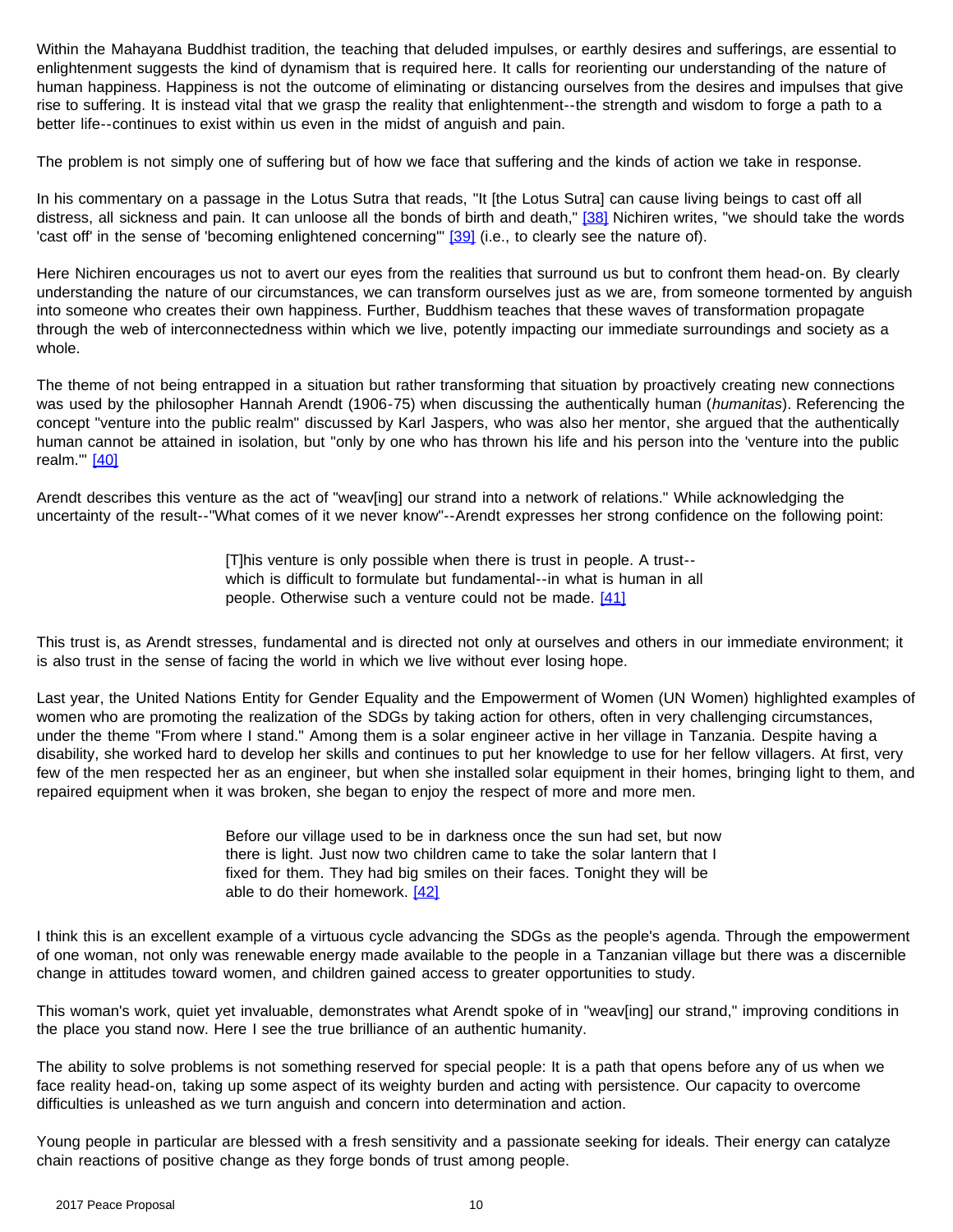Within the Mahayana Buddhist tradition, the teaching that deluded impulses, or earthly desires and sufferings, are essential to enlightenment suggests the kind of dynamism that is required here. It calls for reorienting our understanding of the nature of human happiness. Happiness is not the outcome of eliminating or distancing ourselves from the desires and impulses that give rise to suffering. It is instead vital that we grasp the reality that enlightenment--the strength and wisdom to forge a path to a better life--continues to exist within us even in the midst of anguish and pain.

The problem is not simply one of suffering but of how we face that suffering and the kinds of action we take in response.

<span id="page-9-1"></span><span id="page-9-0"></span>In his commentary on a passage in the Lotus Sutra that reads, "It [the Lotus Sutra] can cause living beings to cast off all distress, all sickness and pain. It can unloose all the bonds of birth and death," [\[38\]](#page-23-3) Nichiren writes, "we should take the words 'cast off' in the sense of 'becoming enlightened concerning'" [\[39\]](#page-23-3) (i.e., to clearly see the nature of).

Here Nichiren encourages us not to avert our eyes from the realities that surround us but to confront them head-on. By clearly understanding the nature of our circumstances, we can transform ourselves just as we are, from someone tormented by anguish into someone who creates their own happiness. Further, Buddhism teaches that these waves of transformation propagate through the web of interconnectedness within which we live, potently impacting our immediate surroundings and society as a whole.

The theme of not being entrapped in a situation but rather transforming that situation by proactively creating new connections was used by the philosopher Hannah Arendt (1906-75) when discussing the authentically human (*humanitas*). Referencing the concept "venture into the public realm" discussed by Karl Jaspers, who was also her mentor, she argued that the authentically human cannot be attained in isolation, but "only by one who has thrown his life and his person into the 'venture into the public realm." [\[40\]](#page-23-4)

<span id="page-9-2"></span>Arendt describes this venture as the act of "weav[ing] our strand into a network of relations." While acknowledging the uncertainty of the result--"What comes of it we never know"--Arendt expresses her strong confidence on the following point:

> [T]his venture is only possible when there is trust in people. A trust- which is difficult to formulate but fundamental--in what is human in all people. Otherwise such a venture could not be made. [\[41\]](#page-23-4)

<span id="page-9-3"></span>This trust is, as Arendt stresses, fundamental and is directed not only at ourselves and others in our immediate environment; it is also trust in the sense of facing the world in which we live without ever losing hope.

Last year, the United Nations Entity for Gender Equality and the Empowerment of Women (UN Women) highlighted examples of women who are promoting the realization of the SDGs by taking action for others, often in very challenging circumstances, under the theme "From where I stand." Among them is a solar engineer active in her village in Tanzania. Despite having a disability, she worked hard to develop her skills and continues to put her knowledge to use for her fellow villagers. At first, very few of the men respected her as an engineer, but when she installed solar equipment in their homes, bringing light to them, and repaired equipment when it was broken, she began to enjoy the respect of more and more men.

> Before our village used to be in darkness once the sun had set, but now there is light. Just now two children came to take the solar lantern that I fixed for them. They had big smiles on their faces. Tonight they will be able to do their homework. [\[42\]](#page-23-4)

<span id="page-9-4"></span>I think this is an excellent example of a virtuous cycle advancing the SDGs as the people's agenda. Through the empowerment of one woman, not only was renewable energy made available to the people in a Tanzanian village but there was a discernible change in attitudes toward women, and children gained access to greater opportunities to study.

This woman's work, quiet yet invaluable, demonstrates what Arendt spoke of in "weav[ing] our strand," improving conditions in the place you stand now. Here I see the true brilliance of an authentic humanity.

The ability to solve problems is not something reserved for special people: It is a path that opens before any of us when we face reality head-on, taking up some aspect of its weighty burden and acting with persistence. Our capacity to overcome difficulties is unleashed as we turn anguish and concern into determination and action.

Young people in particular are blessed with a fresh sensitivity and a passionate seeking for ideals. Their energy can catalyze chain reactions of positive change as they forge bonds of trust among people.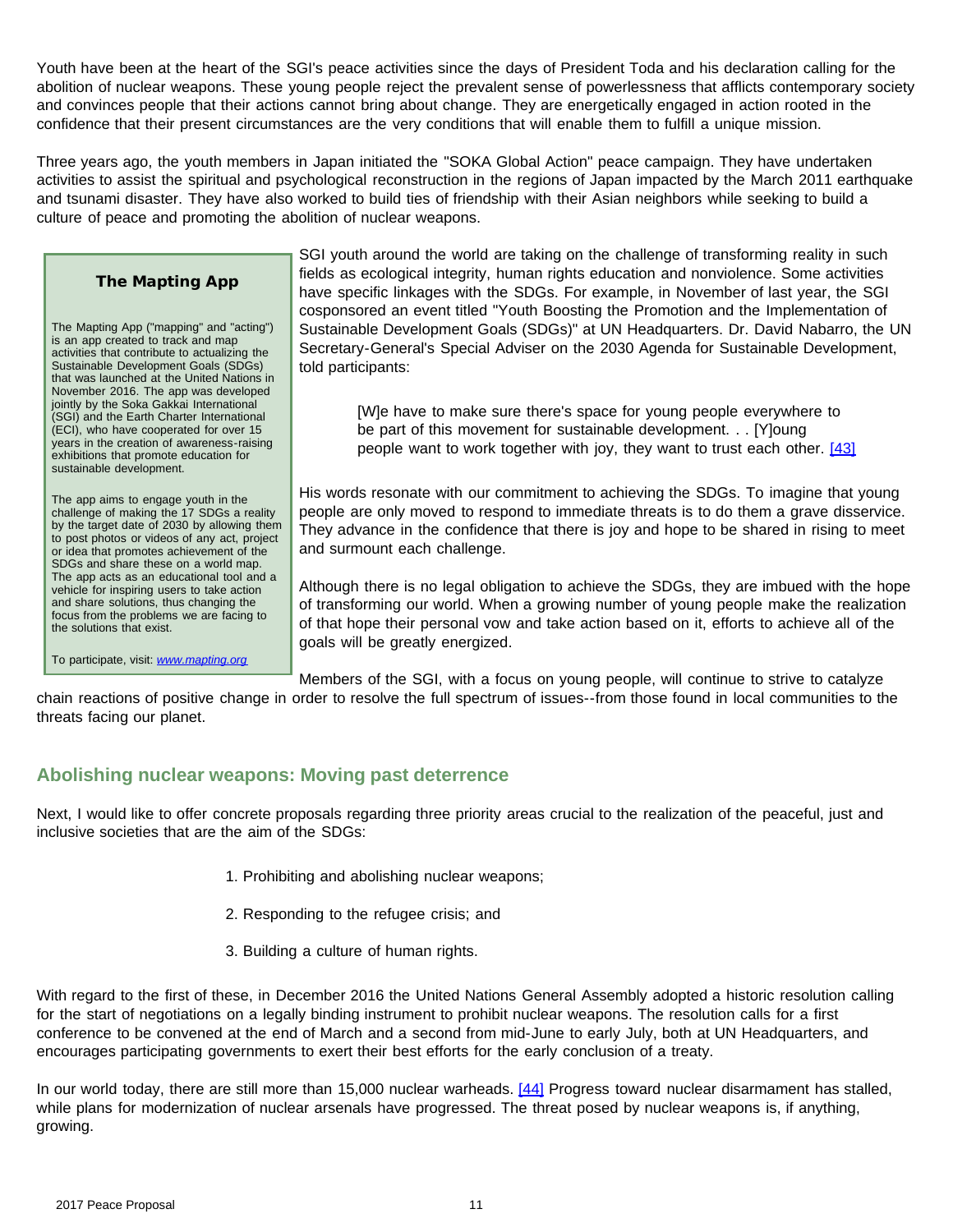Youth have been at the heart of the SGI's peace activities since the days of President Toda and his declaration calling for the abolition of nuclear weapons. These young people reject the prevalent sense of powerlessness that afflicts contemporary society and convinces people that their actions cannot bring about change. They are energetically engaged in action rooted in the confidence that their present circumstances are the very conditions that will enable them to fulfill a unique mission.

Three years ago, the youth members in Japan initiated the "SOKA Global Action" peace campaign. They have undertaken activities to assist the spiritual and psychological reconstruction in the regions of Japan impacted by the March 2011 earthquake and tsunami disaster. They have also worked to build ties of friendship with their Asian neighbors while seeking to build a culture of peace and promoting the abolition of nuclear weapons.

#### **The Mapting App**

The Mapting App ("mapping" and "acting") is an app created to track and map activities that contribute to actualizing the Sustainable Development Goals (SDGs) that was launched at the United Nations in November 2016. The app was developed jointly by the Soka Gakkai International (SGI) and the Earth Charter International (ECI), who have cooperated for over 15 years in the creation of awareness-raising exhibitions that promote education for sustainable development.

<span id="page-10-0"></span>The app aims to engage youth in the challenge of making the 17 SDGs a reality by the target date of 2030 by allowing them to post photos or videos of any act, project or idea that promotes achievement of the SDGs and share these on a world map. The app acts as an educational tool and a vehicle for inspiring users to take action and share solutions, thus changing the focus from the problems we are facing to the solutions that exist.

To participate, visit: *[www.mapting.org](http://www.mapting.org/)*

SGI youth around the world are taking on the challenge of transforming reality in such fields as ecological integrity, human rights education and nonviolence. Some activities have specific linkages with the SDGs. For example, in November of last year, the SGI cosponsored an event titled "Youth Boosting the Promotion and the Implementation of Sustainable Development Goals (SDGs)" at UN Headquarters. Dr. David Nabarro, the UN Secretary-General's Special Adviser on the 2030 Agenda for Sustainable Development, told participants:

[W]e have to make sure there's space for young people everywhere to be part of this movement for sustainable development. . . [Y]oung people want to work together with joy, they want to trust each other. [\[43\]](#page-23-4)

His words resonate with our commitment to achieving the SDGs. To imagine that young people are only moved to respond to immediate threats is to do them a grave disservice. They advance in the confidence that there is joy and hope to be shared in rising to meet and surmount each challenge.

Although there is no legal obligation to achieve the SDGs, they are imbued with the hope of transforming our world. When a growing number of young people make the realization of that hope their personal vow and take action based on it, efforts to achieve all of the goals will be greatly energized.

Members of the SGI, with a focus on young people, will continue to strive to catalyze

chain reactions of positive change in order to resolve the full spectrum of issues--from those found in local communities to the threats facing our planet.

### **Abolishing nuclear weapons: Moving past deterrence**

Next, I would like to offer concrete proposals regarding three priority areas crucial to the realization of the peaceful, just and inclusive societies that are the aim of the SDGs:

- 1. Prohibiting and abolishing nuclear weapons;
- 2. Responding to the refugee crisis; and
- 3. Building a culture of human rights.

With regard to the first of these, in December 2016 the United Nations General Assembly adopted a historic resolution calling for the start of negotiations on a legally binding instrument to prohibit nuclear weapons. The resolution calls for a first conference to be convened at the end of March and a second from mid-June to early July, both at UN Headquarters, and encourages participating governments to exert their best efforts for the early conclusion of a treaty.

<span id="page-10-1"></span>In our world today, there are still more than 15,000 nuclear warheads. [\[44\]](#page-23-4) Progress toward nuclear disarmament has stalled, while plans for modernization of nuclear arsenals have progressed. The threat posed by nuclear weapons is, if anything, growing.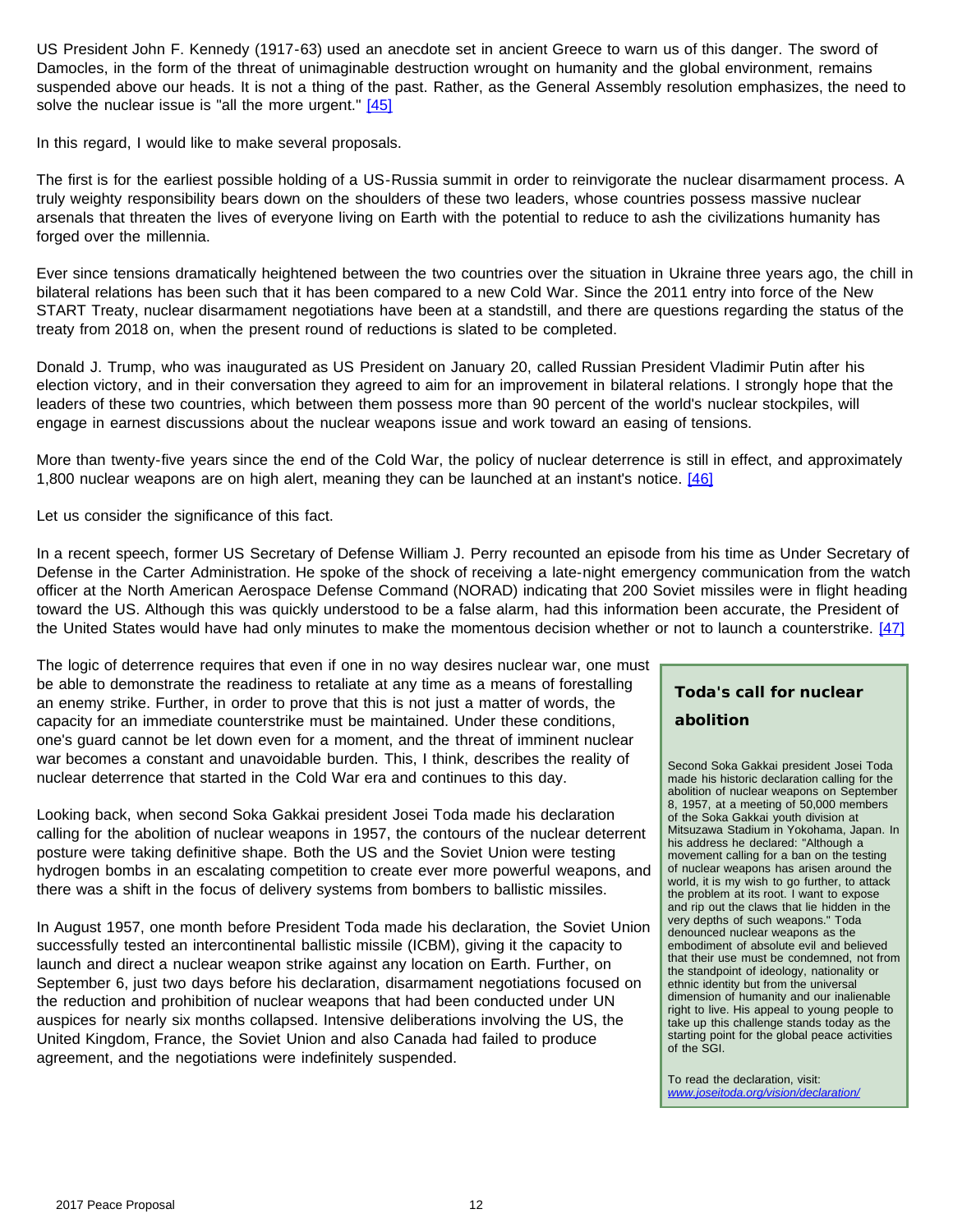US President John F. Kennedy (1917-63) used an anecdote set in ancient Greece to warn us of this danger. The sword of Damocles, in the form of the threat of unimaginable destruction wrought on humanity and the global environment, remains suspended above our heads. It is not a thing of the past. Rather, as the General Assembly resolution emphasizes, the need to solve the nuclear issue is "all the more urgent." [\[45\]](#page-23-4)

<span id="page-11-0"></span>In this regard, I would like to make several proposals.

The first is for the earliest possible holding of a US-Russia summit in order to reinvigorate the nuclear disarmament process. A truly weighty responsibility bears down on the shoulders of these two leaders, whose countries possess massive nuclear arsenals that threaten the lives of everyone living on Earth with the potential to reduce to ash the civilizations humanity has forged over the millennia.

Ever since tensions dramatically heightened between the two countries over the situation in Ukraine three years ago, the chill in bilateral relations has been such that it has been compared to a new Cold War. Since the 2011 entry into force of the New START Treaty, nuclear disarmament negotiations have been at a standstill, and there are questions regarding the status of the treaty from 2018 on, when the present round of reductions is slated to be completed.

Donald J. Trump, who was inaugurated as US President on January 20, called Russian President Vladimir Putin after his election victory, and in their conversation they agreed to aim for an improvement in bilateral relations. I strongly hope that the leaders of these two countries, which between them possess more than 90 percent of the world's nuclear stockpiles, will engage in earnest discussions about the nuclear weapons issue and work toward an easing of tensions.

<span id="page-11-1"></span>More than twenty-five years since the end of the Cold War, the policy of nuclear deterrence is still in effect, and approximately 1,800 nuclear weapons are on high alert, meaning they can be launched at an instant's notice. [\[46\]](#page-23-4)

Let us consider the significance of this fact.

In a recent speech, former US Secretary of Defense William J. Perry recounted an episode from his time as Under Secretary of Defense in the Carter Administration. He spoke of the shock of receiving a late-night emergency communication from the watch officer at the North American Aerospace Defense Command (NORAD) indicating that 200 Soviet missiles were in flight heading toward the US. Although this was quickly understood to be a false alarm, had this information been accurate, the President of the United States would have had only minutes to make the momentous decision whether or not to launch a counterstrike. [\[47\]](#page-23-4)

<span id="page-11-2"></span>The logic of deterrence requires that even if one in no way desires nuclear war, one must be able to demonstrate the readiness to retaliate at any time as a means of forestalling an enemy strike. Further, in order to prove that this is not just a matter of words, the capacity for an immediate counterstrike must be maintained. Under these conditions, one's guard cannot be let down even for a moment, and the threat of imminent nuclear war becomes a constant and unavoidable burden. This, I think, describes the reality of nuclear deterrence that started in the Cold War era and continues to this day.

Looking back, when second Soka Gakkai president Josei Toda made his declaration calling for the abolition of nuclear weapons in 1957, the contours of the nuclear deterrent posture were taking definitive shape. Both the US and the Soviet Union were testing hydrogen bombs in an escalating competition to create ever more powerful weapons, and there was a shift in the focus of delivery systems from bombers to ballistic missiles.

In August 1957, one month before President Toda made his declaration, the Soviet Union successfully tested an intercontinental ballistic missile (ICBM), giving it the capacity to launch and direct a nuclear weapon strike against any location on Earth. Further, on September 6, just two days before his declaration, disarmament negotiations focused on the reduction and prohibition of nuclear weapons that had been conducted under UN auspices for nearly six months collapsed. Intensive deliberations involving the US, the United Kingdom, France, the Soviet Union and also Canada had failed to produce agreement, and the negotiations were indefinitely suspended.

# **Toda's call for nuclear abolition**

Second Soka Gakkai president Josei Toda made his historic declaration calling for the abolition of nuclear weapons on September 8, 1957, at a meeting of 50,000 members of the Soka Gakkai youth division at Mitsuzawa Stadium in Yokohama, Japan. In his address he declared: "Although a movement calling for a ban on the testing of nuclear weapons has arisen around the world, it is my wish to go further, to attack the problem at its root. I want to expose and rip out the claws that lie hidden in the very depths of such weapons." Toda denounced nuclear weapons as the embodiment of absolute evil and believed that their use must be condemned, not from the standpoint of ideology, nationality or ethnic identity but from the universal dimension of humanity and our inalienable right to live. His appeal to young people to take up this challenge stands today as the starting point for the global peace activities of the SGI.

To read the declaration, visit: *[www.joseitoda.org/vision/declaration/](http://www.joseitoda.org/vision/declaration/)*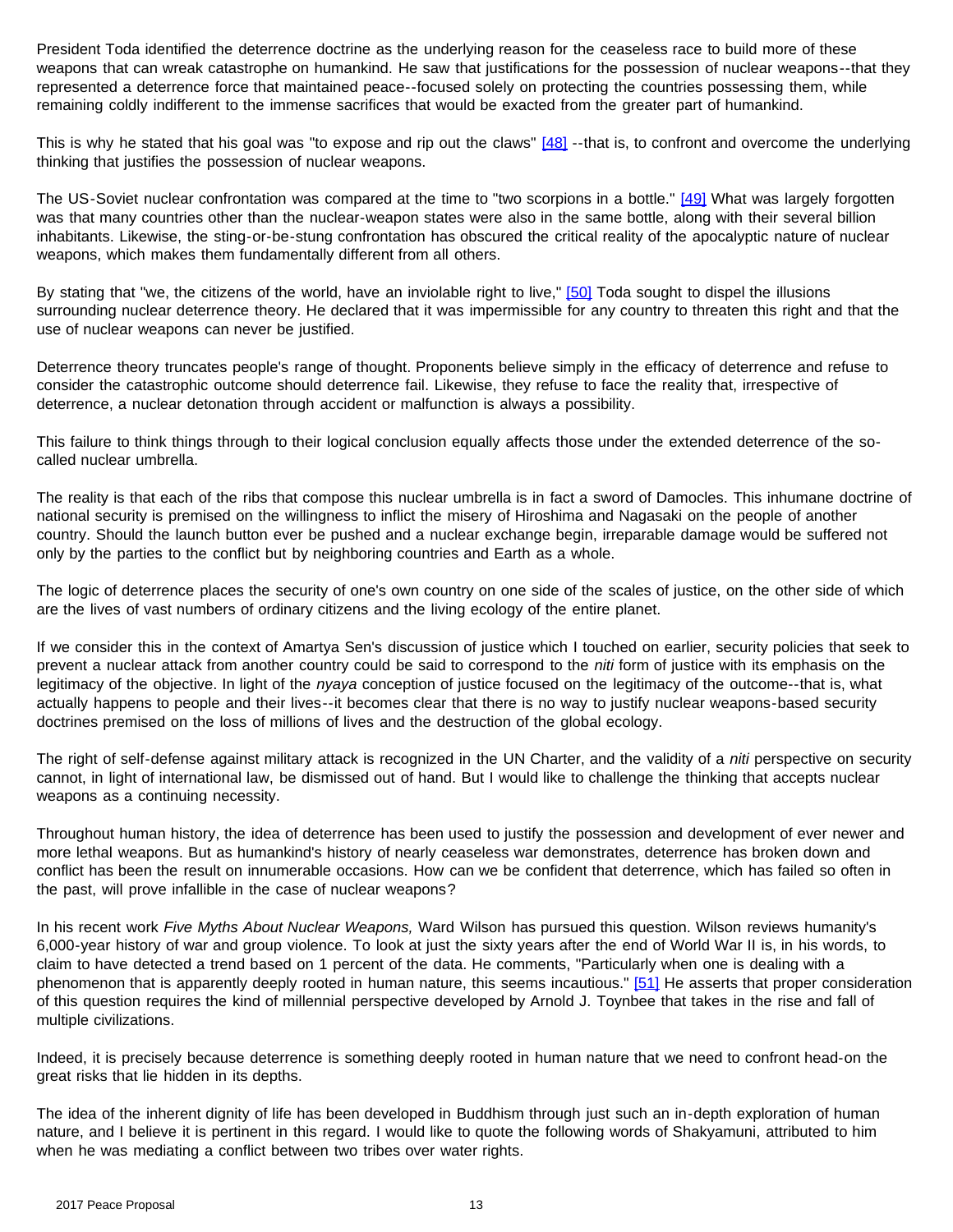President Toda identified the deterrence doctrine as the underlying reason for the ceaseless race to build more of these weapons that can wreak catastrophe on humankind. He saw that justifications for the possession of nuclear weapons--that they represented a deterrence force that maintained peace--focused solely on protecting the countries possessing them, while remaining coldly indifferent to the immense sacrifices that would be exacted from the greater part of humankind.

<span id="page-12-0"></span>This is why he stated that his goal was "to expose and rip out the claws" [\[48\]](#page-23-4) --that is, to confront and overcome the underlying thinking that justifies the possession of nuclear weapons.

The US-Soviet nuclear confrontation was compared at the time to "two scorpions in a bottle." [\[49\]](#page-23-4) What was largely forgotten was that many countries other than the nuclear-weapon states were also in the same bottle, along with their several billion inhabitants. Likewise, the sting-or-be-stung confrontation has obscured the critical reality of the apocalyptic nature of nuclear weapons, which makes them fundamentally different from all others.

<span id="page-12-1"></span>By stating that "we, the citizens of the world, have an inviolable right to live," [\[50\]](#page-23-5) Toda sought to dispel the illusions surrounding nuclear deterrence theory. He declared that it was impermissible for any country to threaten this right and that the use of nuclear weapons can never be justified.

Deterrence theory truncates people's range of thought. Proponents believe simply in the efficacy of deterrence and refuse to consider the catastrophic outcome should deterrence fail. Likewise, they refuse to face the reality that, irrespective of deterrence, a nuclear detonation through accident or malfunction is always a possibility.

This failure to think things through to their logical conclusion equally affects those under the extended deterrence of the socalled nuclear umbrella.

The reality is that each of the ribs that compose this nuclear umbrella is in fact a sword of Damocles. This inhumane doctrine of national security is premised on the willingness to inflict the misery of Hiroshima and Nagasaki on the people of another country. Should the launch button ever be pushed and a nuclear exchange begin, irreparable damage would be suffered not only by the parties to the conflict but by neighboring countries and Earth as a whole.

The logic of deterrence places the security of one's own country on one side of the scales of justice, on the other side of which are the lives of vast numbers of ordinary citizens and the living ecology of the entire planet.

If we consider this in the context of Amartya Sen's discussion of justice which I touched on earlier, security policies that seek to prevent a nuclear attack from another country could be said to correspond to the *niti* form of justice with its emphasis on the legitimacy of the objective. In light of the *nyaya* conception of justice focused on the legitimacy of the outcome--that is, what actually happens to people and their lives--it becomes clear that there is no way to justify nuclear weapons-based security doctrines premised on the loss of millions of lives and the destruction of the global ecology.

The right of self-defense against military attack is recognized in the UN Charter, and the validity of a *niti* perspective on security cannot, in light of international law, be dismissed out of hand. But I would like to challenge the thinking that accepts nuclear weapons as a continuing necessity.

Throughout human history, the idea of deterrence has been used to justify the possession and development of ever newer and more lethal weapons. But as humankind's history of nearly ceaseless war demonstrates, deterrence has broken down and conflict has been the result on innumerable occasions. How can we be confident that deterrence, which has failed so often in the past, will prove infallible in the case of nuclear weapons?

<span id="page-12-2"></span>In his recent work *Five Myths About Nuclear Weapons,* Ward Wilson has pursued this question. Wilson reviews humanity's 6,000-year history of war and group violence. To look at just the sixty years after the end of World War II is, in his words, to claim to have detected a trend based on 1 percent of the data. He comments, "Particularly when one is dealing with a phenomenon that is apparently deeply rooted in human nature, this seems incautious." [\[51\]](#page-23-5) He asserts that proper consideration of this question requires the kind of millennial perspective developed by Arnold J. Toynbee that takes in the rise and fall of multiple civilizations.

Indeed, it is precisely because deterrence is something deeply rooted in human nature that we need to confront head-on the great risks that lie hidden in its depths.

The idea of the inherent dignity of life has been developed in Buddhism through just such an in-depth exploration of human nature, and I believe it is pertinent in this regard. I would like to quote the following words of Shakyamuni, attributed to him when he was mediating a conflict between two tribes over water rights.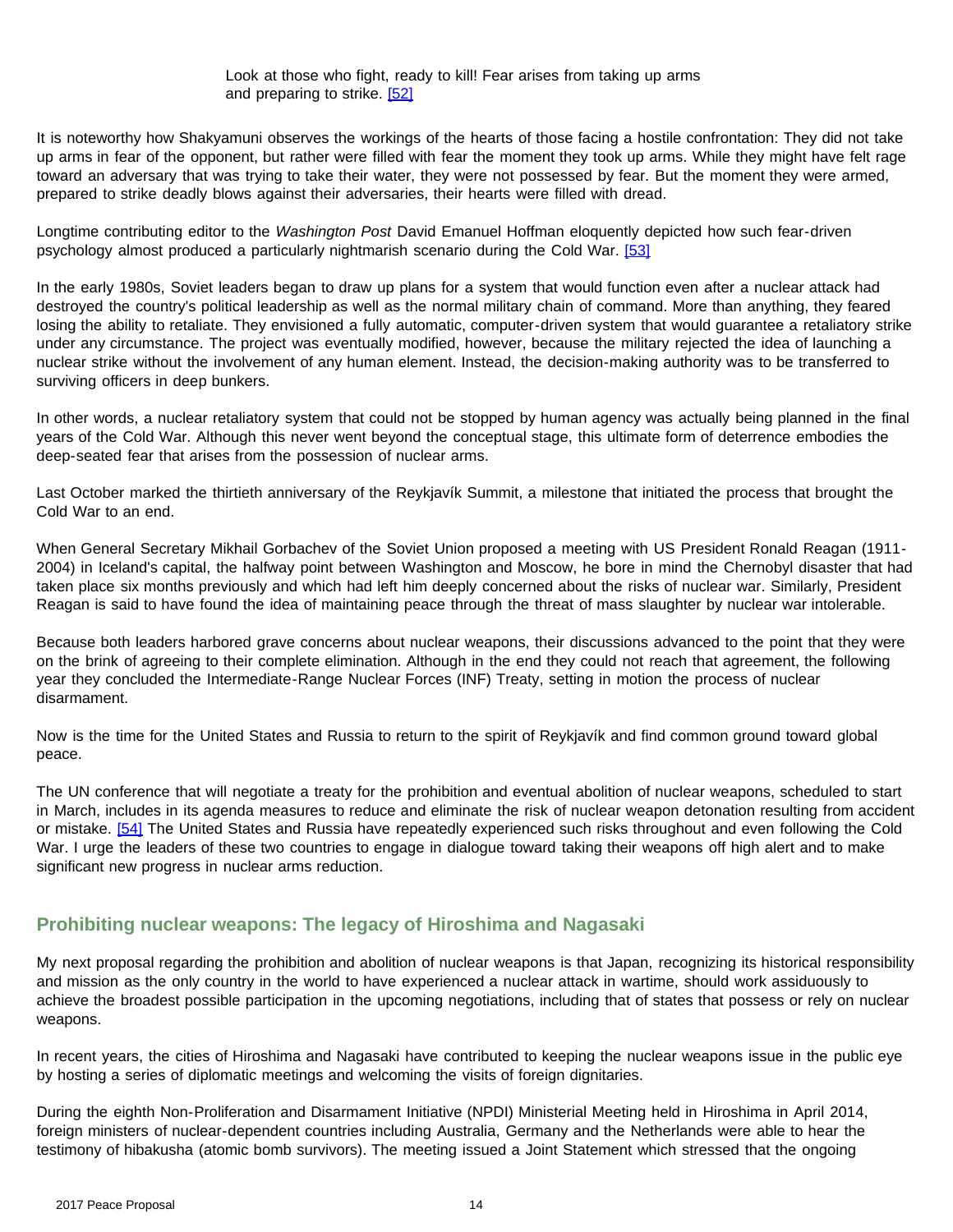<span id="page-13-0"></span>It is noteworthy how Shakyamuni observes the workings of the hearts of those facing a hostile confrontation: They did not take up arms in fear of the opponent, but rather were filled with fear the moment they took up arms. While they might have felt rage toward an adversary that was trying to take their water, they were not possessed by fear. But the moment they were armed, prepared to strike deadly blows against their adversaries, their hearts were filled with dread.

<span id="page-13-1"></span>Longtime contributing editor to the *Washington Post* David Emanuel Hoffman eloquently depicted how such fear-driven psychology almost produced a particularly nightmarish scenario during the Cold War. [\[53\]](#page-23-5)

In the early 1980s, Soviet leaders began to draw up plans for a system that would function even after a nuclear attack had destroyed the country's political leadership as well as the normal military chain of command. More than anything, they feared losing the ability to retaliate. They envisioned a fully automatic, computer-driven system that would guarantee a retaliatory strike under any circumstance. The project was eventually modified, however, because the military rejected the idea of launching a nuclear strike without the involvement of any human element. Instead, the decision-making authority was to be transferred to surviving officers in deep bunkers.

In other words, a nuclear retaliatory system that could not be stopped by human agency was actually being planned in the final years of the Cold War. Although this never went beyond the conceptual stage, this ultimate form of deterrence embodies the deep-seated fear that arises from the possession of nuclear arms.

Last October marked the thirtieth anniversary of the Reykjavík Summit, a milestone that initiated the process that brought the Cold War to an end.

When General Secretary Mikhail Gorbachev of the Soviet Union proposed a meeting with US President Ronald Reagan (1911- 2004) in Iceland's capital, the halfway point between Washington and Moscow, he bore in mind the Chernobyl disaster that had taken place six months previously and which had left him deeply concerned about the risks of nuclear war. Similarly, President Reagan is said to have found the idea of maintaining peace through the threat of mass slaughter by nuclear war intolerable.

Because both leaders harbored grave concerns about nuclear weapons, their discussions advanced to the point that they were on the brink of agreeing to their complete elimination. Although in the end they could not reach that agreement, the following year they concluded the Intermediate-Range Nuclear Forces (INF) Treaty, setting in motion the process of nuclear disarmament.

Now is the time for the United States and Russia to return to the spirit of Reykjavík and find common ground toward global peace.

<span id="page-13-2"></span>The UN conference that will negotiate a treaty for the prohibition and eventual abolition of nuclear weapons, scheduled to start in March, includes in its agenda measures to reduce and eliminate the risk of nuclear weapon detonation resulting from accident or mistake. [\[54\]](#page-23-5) The United States and Russia have repeatedly experienced such risks throughout and even following the Cold War. I urge the leaders of these two countries to engage in dialogue toward taking their weapons off high alert and to make significant new progress in nuclear arms reduction.

## **Prohibiting nuclear weapons: The legacy of Hiroshima and Nagasaki**

My next proposal regarding the prohibition and abolition of nuclear weapons is that Japan, recognizing its historical responsibility and mission as the only country in the world to have experienced a nuclear attack in wartime, should work assiduously to achieve the broadest possible participation in the upcoming negotiations, including that of states that possess or rely on nuclear weapons.

In recent years, the cities of Hiroshima and Nagasaki have contributed to keeping the nuclear weapons issue in the public eye by hosting a series of diplomatic meetings and welcoming the visits of foreign dignitaries.

During the eighth Non-Proliferation and Disarmament Initiative (NPDI) Ministerial Meeting held in Hiroshima in April 2014, foreign ministers of nuclear-dependent countries including Australia, Germany and the Netherlands were able to hear the testimony of hibakusha (atomic bomb survivors). The meeting issued a Joint Statement which stressed that the ongoing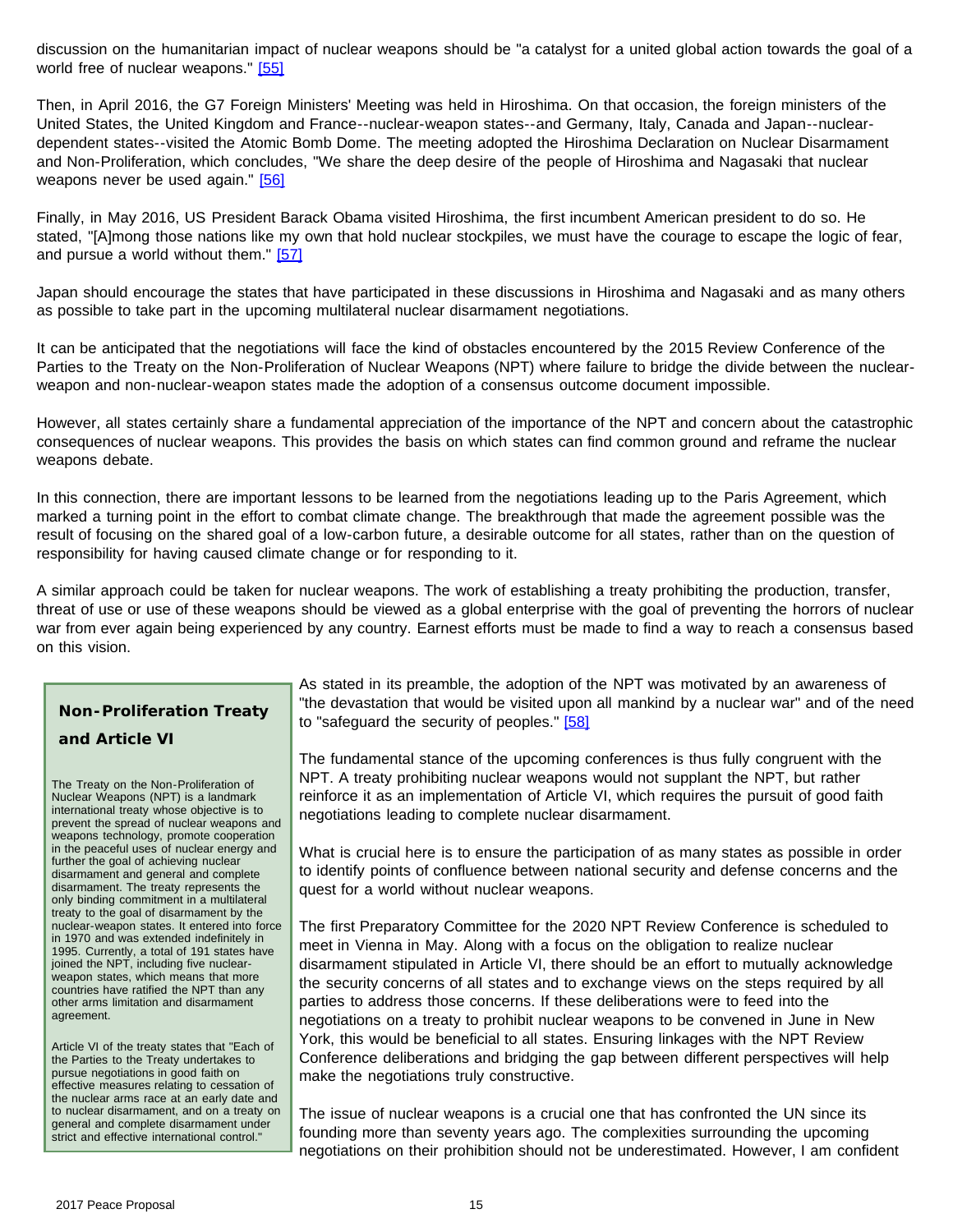<span id="page-14-0"></span>discussion on the humanitarian impact of nuclear weapons should be "a catalyst for a united global action towards the goal of a world free of nuclear weapons." [\[55\]](#page-23-5)

Then, in April 2016, the G7 Foreign Ministers' Meeting was held in Hiroshima. On that occasion, the foreign ministers of the United States, the United Kingdom and France--nuclear-weapon states--and Germany, Italy, Canada and Japan--nucleardependent states--visited the Atomic Bomb Dome. The meeting adopted the Hiroshima Declaration on Nuclear Disarmament and Non-Proliferation, which concludes, "We share the deep desire of the people of Hiroshima and Nagasaki that nuclear weapons never be used again." [\[56\]](#page-23-5)

<span id="page-14-2"></span><span id="page-14-1"></span>Finally, in May 2016, US President Barack Obama visited Hiroshima, the first incumbent American president to do so. He stated, "[A]mong those nations like my own that hold nuclear stockpiles, we must have the courage to escape the logic of fear, and pursue a world without them." [\[57\]](#page-23-5)

Japan should encourage the states that have participated in these discussions in Hiroshima and Nagasaki and as many others as possible to take part in the upcoming multilateral nuclear disarmament negotiations.

It can be anticipated that the negotiations will face the kind of obstacles encountered by the 2015 Review Conference of the Parties to the Treaty on the Non-Proliferation of Nuclear Weapons (NPT) where failure to bridge the divide between the nuclearweapon and non-nuclear-weapon states made the adoption of a consensus outcome document impossible.

However, all states certainly share a fundamental appreciation of the importance of the NPT and concern about the catastrophic consequences of nuclear weapons. This provides the basis on which states can find common ground and reframe the nuclear weapons debate.

In this connection, there are important lessons to be learned from the negotiations leading up to the Paris Agreement, which marked a turning point in the effort to combat climate change. The breakthrough that made the agreement possible was the result of focusing on the shared goal of a low-carbon future, a desirable outcome for all states, rather than on the question of responsibility for having caused climate change or for responding to it.

A similar approach could be taken for nuclear weapons. The work of establishing a treaty prohibiting the production, transfer, threat of use or use of these weapons should be viewed as a global enterprise with the goal of preventing the horrors of nuclear war from ever again being experienced by any country. Earnest efforts must be made to find a way to reach a consensus based on this vision.

# <span id="page-14-3"></span>**Non-Proliferation Treaty and Article VI**

The Treaty on the Non-Proliferation of Nuclear Weapons (NPT) is a landmark international treaty whose objective is to prevent the spread of nuclear weapons and weapons technology, promote cooperation in the peaceful uses of nuclear energy and further the goal of achieving nuclear disarmament and general and complete disarmament. The treaty represents the only binding commitment in a multilateral treaty to the goal of disarmament by the nuclear-weapon states. It entered into force in 1970 and was extended indefinitely in 1995. Currently, a total of 191 states have joined the NPT, including five nuclearweapon states, which means that more countries have ratified the NPT than any other arms limitation and disarmament agreement.

Article VI of the treaty states that "Each of the Parties to the Treaty undertakes to pursue negotiations in good faith on effective measures relating to cessation of the nuclear arms race at an early date and to nuclear disarmament, and on a treaty on general and complete disarmament under strict and effective international control."

As stated in its preamble, the adoption of the NPT was motivated by an awareness of "the devastation that would be visited upon all mankind by a nuclear war" and of the need to "safeguard the security of peoples." [\[58\]](#page-23-5)

The fundamental stance of the upcoming conferences is thus fully congruent with the NPT. A treaty prohibiting nuclear weapons would not supplant the NPT, but rather reinforce it as an implementation of Article VI, which requires the pursuit of good faith negotiations leading to complete nuclear disarmament.

What is crucial here is to ensure the participation of as many states as possible in order to identify points of confluence between national security and defense concerns and the quest for a world without nuclear weapons.

The first Preparatory Committee for the 2020 NPT Review Conference is scheduled to meet in Vienna in May. Along with a focus on the obligation to realize nuclear disarmament stipulated in Article VI, there should be an effort to mutually acknowledge the security concerns of all states and to exchange views on the steps required by all parties to address those concerns. If these deliberations were to feed into the negotiations on a treaty to prohibit nuclear weapons to be convened in June in New York, this would be beneficial to all states. Ensuring linkages with the NPT Review Conference deliberations and bridging the gap between different perspectives will help make the negotiations truly constructive.

The issue of nuclear weapons is a crucial one that has confronted the UN since its founding more than seventy years ago. The complexities surrounding the upcoming negotiations on their prohibition should not be underestimated. However, I am confident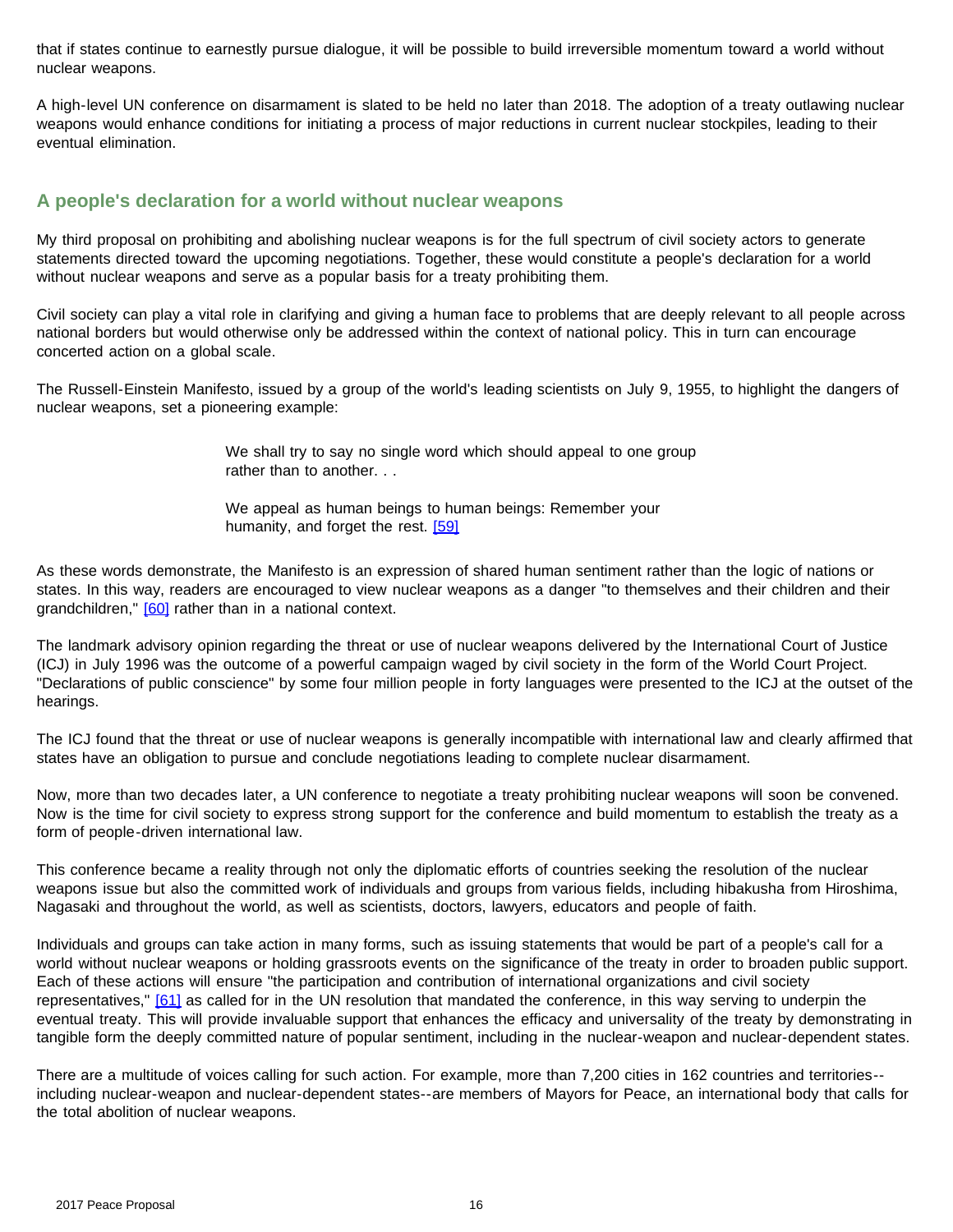that if states continue to earnestly pursue dialogue, it will be possible to build irreversible momentum toward a world without nuclear weapons.

A high-level UN conference on disarmament is slated to be held no later than 2018. The adoption of a treaty outlawing nuclear weapons would enhance conditions for initiating a process of major reductions in current nuclear stockpiles, leading to their eventual elimination.

#### **A people's declaration for a world without nuclear weapons**

My third proposal on prohibiting and abolishing nuclear weapons is for the full spectrum of civil society actors to generate statements directed toward the upcoming negotiations. Together, these would constitute a people's declaration for a world without nuclear weapons and serve as a popular basis for a treaty prohibiting them.

Civil society can play a vital role in clarifying and giving a human face to problems that are deeply relevant to all people across national borders but would otherwise only be addressed within the context of national policy. This in turn can encourage concerted action on a global scale.

The Russell-Einstein Manifesto, issued by a group of the world's leading scientists on July 9, 1955, to highlight the dangers of nuclear weapons, set a pioneering example:

> We shall try to say no single word which should appeal to one group rather than to another. . .

We appeal as human beings to human beings: Remember your humanity, and forget the rest. [\[59\]](#page-23-5)

<span id="page-15-1"></span><span id="page-15-0"></span>As these words demonstrate, the Manifesto is an expression of shared human sentiment rather than the logic of nations or states. In this way, readers are encouraged to view nuclear weapons as a danger "to themselves and their children and their grandchildren," [\[60\]](#page-24-0) rather than in a national context.

The landmark advisory opinion regarding the threat or use of nuclear weapons delivered by the International Court of Justice (ICJ) in July 1996 was the outcome of a powerful campaign waged by civil society in the form of the World Court Project. "Declarations of public conscience" by some four million people in forty languages were presented to the ICJ at the outset of the hearings.

The ICJ found that the threat or use of nuclear weapons is generally incompatible with international law and clearly affirmed that states have an obligation to pursue and conclude negotiations leading to complete nuclear disarmament.

Now, more than two decades later, a UN conference to negotiate a treaty prohibiting nuclear weapons will soon be convened. Now is the time for civil society to express strong support for the conference and build momentum to establish the treaty as a form of people-driven international law.

This conference became a reality through not only the diplomatic efforts of countries seeking the resolution of the nuclear weapons issue but also the committed work of individuals and groups from various fields, including hibakusha from Hiroshima, Nagasaki and throughout the world, as well as scientists, doctors, lawyers, educators and people of faith.

<span id="page-15-2"></span>Individuals and groups can take action in many forms, such as issuing statements that would be part of a people's call for a world without nuclear weapons or holding grassroots events on the significance of the treaty in order to broaden public support. Each of these actions will ensure "the participation and contribution of international organizations and civil society representatives," [\[61\]](#page-24-0) as called for in the UN resolution that mandated the conference, in this way serving to underpin the eventual treaty. This will provide invaluable support that enhances the efficacy and universality of the treaty by demonstrating in tangible form the deeply committed nature of popular sentiment, including in the nuclear-weapon and nuclear-dependent states.

There are a multitude of voices calling for such action. For example, more than 7,200 cities in 162 countries and territories- including nuclear-weapon and nuclear-dependent states--are members of Mayors for Peace, an international body that calls for the total abolition of nuclear weapons.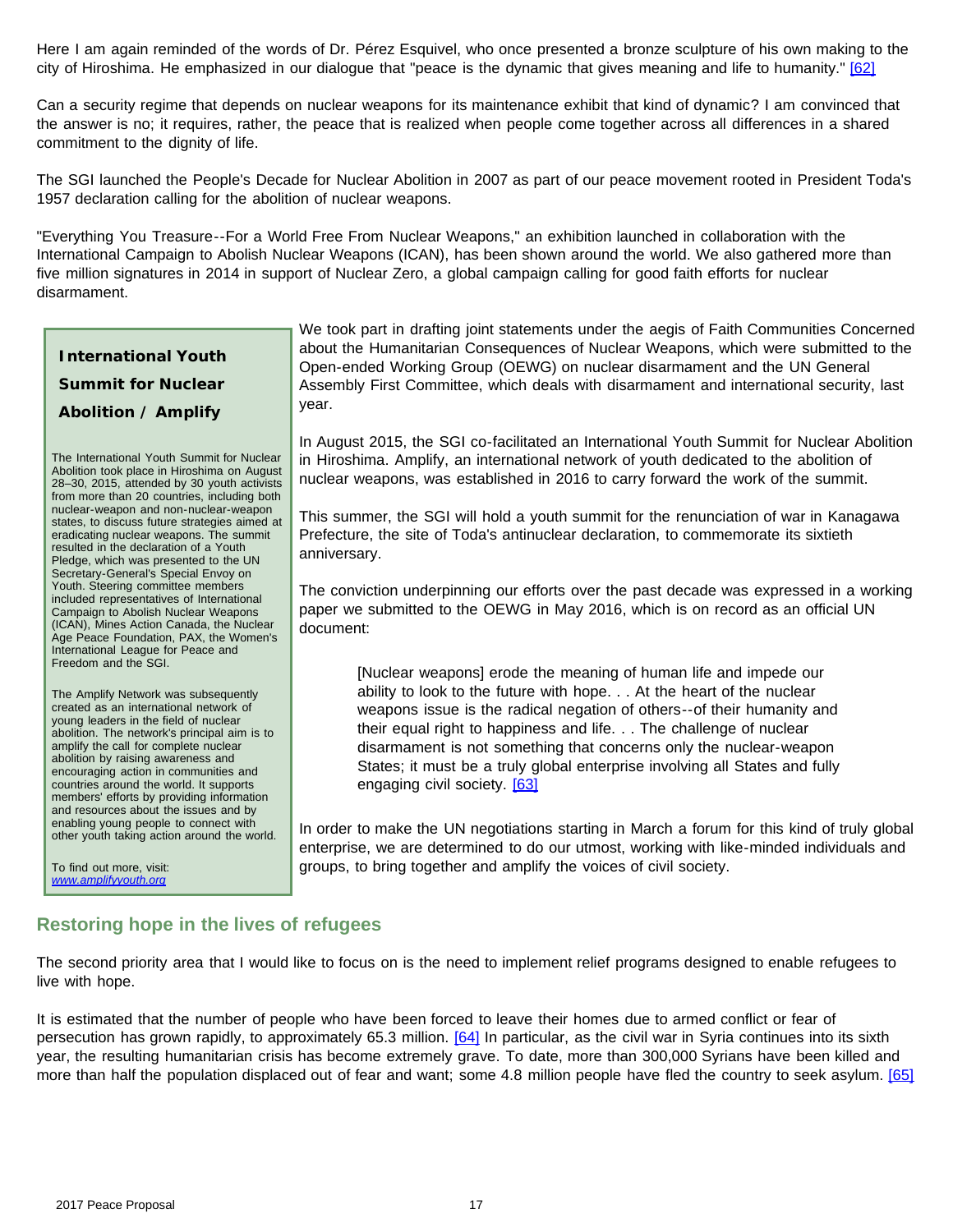<span id="page-16-0"></span>Here I am again reminded of the words of Dr. Pérez Esquivel, who once presented a bronze sculpture of his own making to the city of Hiroshima. He emphasized in our dialogue that "peace is the dynamic that gives meaning and life to humanity." [\[62\]](#page-24-0)

Can a security regime that depends on nuclear weapons for its maintenance exhibit that kind of dynamic? I am convinced that the answer is no; it requires, rather, the peace that is realized when people come together across all differences in a shared commitment to the dignity of life.

The SGI launched the People's Decade for Nuclear Abolition in 2007 as part of our peace movement rooted in President Toda's 1957 declaration calling for the abolition of nuclear weapons.

"Everything You Treasure--For a World Free From Nuclear Weapons," an exhibition launched in collaboration with the International Campaign to Abolish Nuclear Weapons (ICAN), has been shown around the world. We also gathered more than five million signatures in 2014 in support of Nuclear Zero, a global campaign calling for good faith efforts for nuclear disarmament.

# **International Youth Summit for Nuclear Abolition / Amplify**

The International Youth Summit for Nuclear Abolition took place in Hiroshima on August 28–30, 2015, attended by 30 youth activists from more than 20 countries, including both nuclear-weapon and non-nuclear-weapon states, to discuss future strategies aimed at eradicating nuclear weapons. The summit resulted in the declaration of a Youth Pledge, which was presented to the UN Secretary-General's Special Envoy on Youth. Steering committee members included representatives of International Campaign to Abolish Nuclear Weapons (ICAN), Mines Action Canada, the Nuclear Age Peace Foundation, PAX, the Women's International League for Peace and Freedom and the SGI.

The Amplify Network was subsequently created as an international network of young leaders in the field of nuclear abolition. The network's principal aim is to amplify the call for complete nuclear abolition by raising awareness and encouraging action in communities and countries around the world. It supports members' efforts by providing information and resources about the issues and by enabling young people to connect with other youth taking action around the world.

<span id="page-16-1"></span>To find out more, visit: *[www.amplifyyouth.org](http://www.amplifyyouth.org/)*

We took part in drafting joint statements under the aegis of Faith Communities Concerned about the Humanitarian Consequences of Nuclear Weapons, which were submitted to the Open-ended Working Group (OEWG) on nuclear disarmament and the UN General Assembly First Committee, which deals with disarmament and international security, last year.

In August 2015, the SGI co-facilitated an International Youth Summit for Nuclear Abolition in Hiroshima. Amplify, an international network of youth dedicated to the abolition of nuclear weapons, was established in 2016 to carry forward the work of the summit.

This summer, the SGI will hold a youth summit for the renunciation of war in Kanagawa Prefecture, the site of Toda's antinuclear declaration, to commemorate its sixtieth anniversary.

The conviction underpinning our efforts over the past decade was expressed in a working paper we submitted to the OEWG in May 2016, which is on record as an official UN document:

[Nuclear weapons] erode the meaning of human life and impede our ability to look to the future with hope. . . At the heart of the nuclear weapons issue is the radical negation of others--of their humanity and their equal right to happiness and life. . . The challenge of nuclear disarmament is not something that concerns only the nuclear-weapon States; it must be a truly global enterprise involving all States and fully engaging civil society. [\[63\]](#page-24-0)

In order to make the UN negotiations starting in March a forum for this kind of truly global enterprise, we are determined to do our utmost, working with like-minded individuals and groups, to bring together and amplify the voices of civil society.

# **Restoring hope in the lives of refugees**

The second priority area that I would like to focus on is the need to implement relief programs designed to enable refugees to live with hope.

<span id="page-16-3"></span><span id="page-16-2"></span>It is estimated that the number of people who have been forced to leave their homes due to armed conflict or fear of persecution has grown rapidly, to approximately 65.3 million. [\[64\]](#page-24-0) In particular, as the civil war in Syria continues into its sixth year, the resulting humanitarian crisis has become extremely grave. To date, more than 300,000 Syrians have been killed and more than half the population displaced out of fear and want; some 4.8 million people have fled the country to seek asylum. [\[65\]](#page-24-0)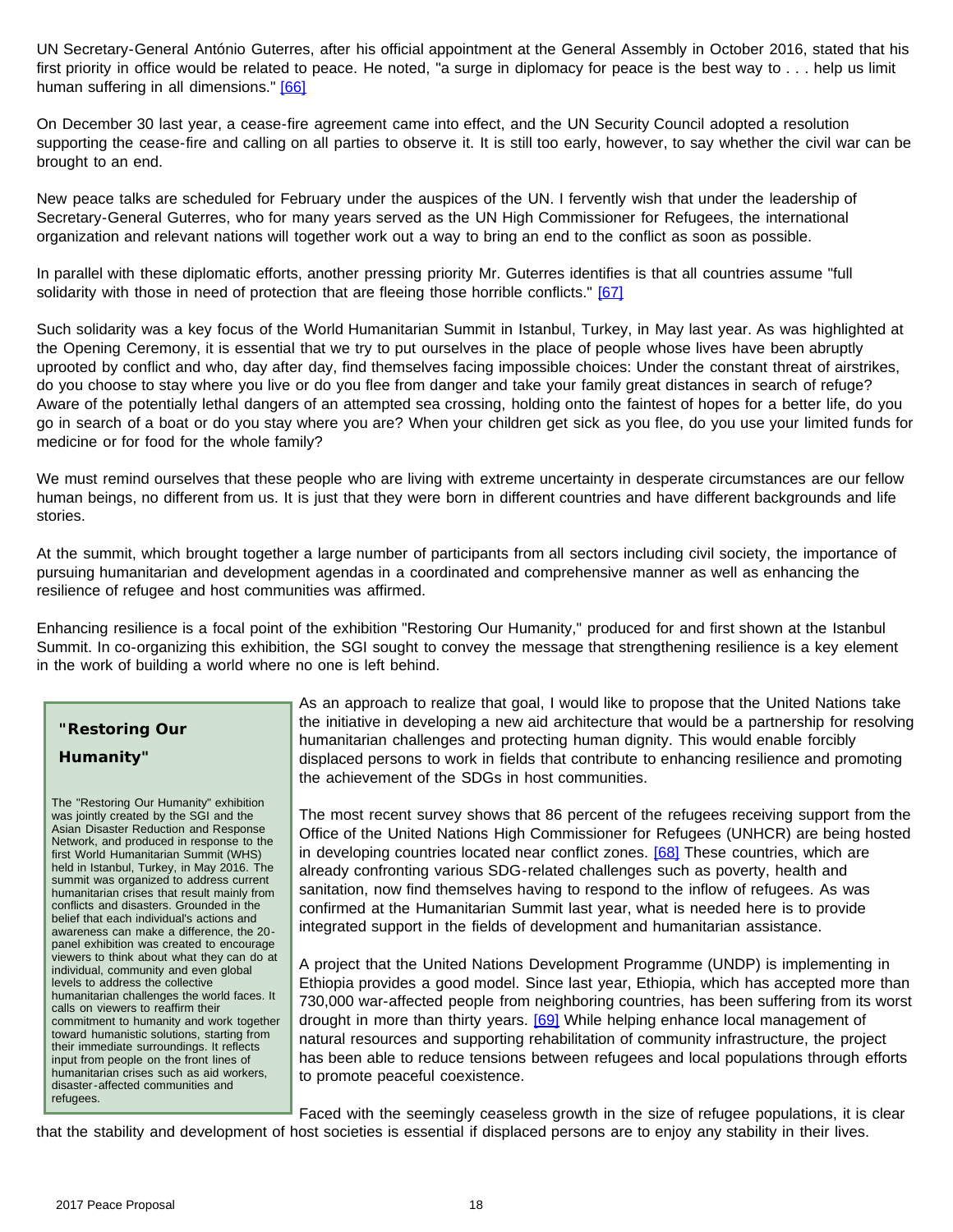<span id="page-17-0"></span>UN Secretary-General António Guterres, after his official appointment at the General Assembly in October 2016, stated that his first priority in office would be related to peace. He noted, "a surge in diplomacy for peace is the best way to . . . help us limit human suffering in all dimensions." [\[66\]](#page-24-0)

On December 30 last year, a cease-fire agreement came into effect, and the UN Security Council adopted a resolution supporting the cease-fire and calling on all parties to observe it. It is still too early, however, to say whether the civil war can be brought to an end.

New peace talks are scheduled for February under the auspices of the UN. I fervently wish that under the leadership of Secretary-General Guterres, who for many years served as the UN High Commissioner for Refugees, the international organization and relevant nations will together work out a way to bring an end to the conflict as soon as possible.

<span id="page-17-1"></span>In parallel with these diplomatic efforts, another pressing priority Mr. Guterres identifies is that all countries assume "full solidarity with those in need of protection that are fleeing those horrible conflicts." [\[67\]](#page-24-0)

Such solidarity was a key focus of the World Humanitarian Summit in Istanbul, Turkey, in May last year. As was highlighted at the Opening Ceremony, it is essential that we try to put ourselves in the place of people whose lives have been abruptly uprooted by conflict and who, day after day, find themselves facing impossible choices: Under the constant threat of airstrikes, do you choose to stay where you live or do you flee from danger and take your family great distances in search of refuge? Aware of the potentially lethal dangers of an attempted sea crossing, holding onto the faintest of hopes for a better life, do you go in search of a boat or do you stay where you are? When your children get sick as you flee, do you use your limited funds for medicine or for food for the whole family?

We must remind ourselves that these people who are living with extreme uncertainty in desperate circumstances are our fellow human beings, no different from us. It is just that they were born in different countries and have different backgrounds and life stories.

At the summit, which brought together a large number of participants from all sectors including civil society, the importance of pursuing humanitarian and development agendas in a coordinated and comprehensive manner as well as enhancing the resilience of refugee and host communities was affirmed.

Enhancing resilience is a focal point of the exhibition "Restoring Our Humanity," produced for and first shown at the Istanbul Summit. In co-organizing this exhibition, the SGI sought to convey the message that strengthening resilience is a key element in the work of building a world where no one is left behind.

# **"Restoring Our Humanity"**

<span id="page-17-2"></span>The "Restoring Our Humanity" exhibition was jointly created by the SGI and the Asian Disaster Reduction and Response Network, and produced in response to the first World Humanitarian Summit (WHS) held in Istanbul, Turkey, in May 2016. The summit was organized to address current humanitarian crises that result mainly from conflicts and disasters. Grounded in the belief that each individual's actions and awareness can make a difference, the 20 panel exhibition was created to encourage viewers to think about what they can do at individual, community and even global levels to address the collective humanitarian challenges the world faces. It calls on viewers to reaffirm their commitment to humanity and work together toward humanistic solutions, starting from their immediate surroundings. It reflects input from people on the front lines of humanitarian crises such as aid workers, disaster-affected communities and refugees.

As an approach to realize that goal, I would like to propose that the United Nations take the initiative in developing a new aid architecture that would be a partnership for resolving humanitarian challenges and protecting human dignity. This would enable forcibly displaced persons to work in fields that contribute to enhancing resilience and promoting the achievement of the SDGs in host communities.

The most recent survey shows that 86 percent of the refugees receiving support from the Office of the United Nations High Commissioner for Refugees (UNHCR) are being hosted in developing countries located near conflict zones. [\[68\]](#page-24-0) These countries, which are already confronting various SDG-related challenges such as poverty, health and sanitation, now find themselves having to respond to the inflow of refugees. As was confirmed at the Humanitarian Summit last year, what is needed here is to provide integrated support in the fields of development and humanitarian assistance.

A project that the United Nations Development Programme (UNDP) is implementing in Ethiopia provides a good model. Since last year, Ethiopia, which has accepted more than 730,000 war-affected people from neighboring countries, has been suffering from its worst drought in more than thirty years. [\[69\]](#page-24-0) While helping enhance local management of natural resources and supporting rehabilitation of community infrastructure, the project has been able to reduce tensions between refugees and local populations through efforts to promote peaceful coexistence.

<span id="page-17-3"></span>Faced with the seemingly ceaseless growth in the size of refugee populations, it is clear that the stability and development of host societies is essential if displaced persons are to enjoy any stability in their lives.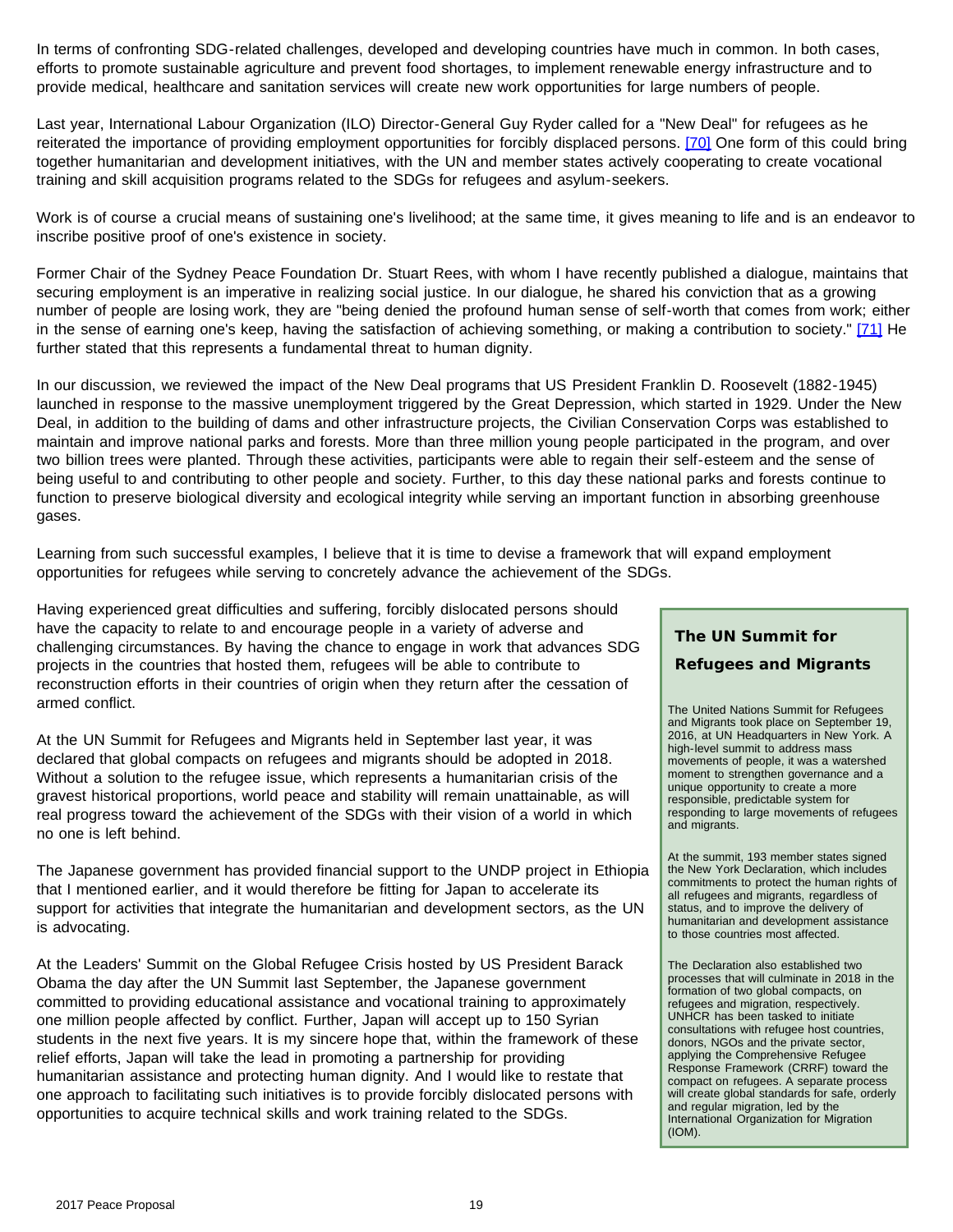In terms of confronting SDG-related challenges, developed and developing countries have much in common. In both cases, efforts to promote sustainable agriculture and prevent food shortages, to implement renewable energy infrastructure and to provide medical, healthcare and sanitation services will create new work opportunities for large numbers of people.

<span id="page-18-0"></span>Last year, International Labour Organization (ILO) Director-General Guy Ryder called for a "New Deal" for refugees as he reiterated the importance of providing employment opportunities for forcibly displaced persons. [\[70\]](#page-24-1) One form of this could bring together humanitarian and development initiatives, with the UN and member states actively cooperating to create vocational training and skill acquisition programs related to the SDGs for refugees and asylum-seekers.

Work is of course a crucial means of sustaining one's livelihood; at the same time, it gives meaning to life and is an endeavor to inscribe positive proof of one's existence in society.

<span id="page-18-1"></span>Former Chair of the Sydney Peace Foundation Dr. Stuart Rees, with whom I have recently published a dialogue, maintains that securing employment is an imperative in realizing social justice. In our dialogue, he shared his conviction that as a growing number of people are losing work, they are "being denied the profound human sense of self-worth that comes from work; either in the sense of earning one's keep, having the satisfaction of achieving something, or making a contribution to society." [\[71\]](#page-24-1) He further stated that this represents a fundamental threat to human dignity.

In our discussion, we reviewed the impact of the New Deal programs that US President Franklin D. Roosevelt (1882-1945) launched in response to the massive unemployment triggered by the Great Depression, which started in 1929. Under the New Deal, in addition to the building of dams and other infrastructure projects, the Civilian Conservation Corps was established to maintain and improve national parks and forests. More than three million young people participated in the program, and over two billion trees were planted. Through these activities, participants were able to regain their self-esteem and the sense of being useful to and contributing to other people and society. Further, to this day these national parks and forests continue to function to preserve biological diversity and ecological integrity while serving an important function in absorbing greenhouse gases.

Learning from such successful examples, I believe that it is time to devise a framework that will expand employment opportunities for refugees while serving to concretely advance the achievement of the SDGs.

Having experienced great difficulties and suffering, forcibly dislocated persons should have the capacity to relate to and encourage people in a variety of adverse and challenging circumstances. By having the chance to engage in work that advances SDG projects in the countries that hosted them, refugees will be able to contribute to reconstruction efforts in their countries of origin when they return after the cessation of armed conflict.

At the UN Summit for Refugees and Migrants held in September last year, it was declared that global compacts on refugees and migrants should be adopted in 2018. Without a solution to the refugee issue, which represents a humanitarian crisis of the gravest historical proportions, world peace and stability will remain unattainable, as will real progress toward the achievement of the SDGs with their vision of a world in which no one is left behind.

The Japanese government has provided financial support to the UNDP project in Ethiopia that I mentioned earlier, and it would therefore be fitting for Japan to accelerate its support for activities that integrate the humanitarian and development sectors, as the UN is advocating.

At the Leaders' Summit on the Global Refugee Crisis hosted by US President Barack Obama the day after the UN Summit last September, the Japanese government committed to providing educational assistance and vocational training to approximately one million people affected by conflict. Further, Japan will accept up to 150 Syrian students in the next five years. It is my sincere hope that, within the framework of these relief efforts, Japan will take the lead in promoting a partnership for providing humanitarian assistance and protecting human dignity. And I would like to restate that one approach to facilitating such initiatives is to provide forcibly dislocated persons with opportunities to acquire technical skills and work training related to the SDGs.

# **The UN Summit for**

#### **Refugees and Migrants**

The United Nations Summit for Refugees and Migrants took place on September 19, 2016, at UN Headquarters in New York. A high-level summit to address mass movements of people, it was a watershed moment to strengthen governance and a unique opportunity to create a more responsible, predictable system for responding to large movements of refugees and migrants.

At the summit, 193 member states signed the New York Declaration, which includes commitments to protect the human rights of all refugees and migrants, regardless of status, and to improve the delivery of humanitarian and development assistance to those countries most affected.

The Declaration also established two processes that will culminate in 2018 in the formation of two global compacts, on refugees and migration, respectively. UNHCR has been tasked to initiate consultations with refugee host countries, donors, NGOs and the private sector, applying the Comprehensive Refugee Response Framework (CRRF) toward the compact on refugees. A separate process will create global standards for safe, orderly and regular migration, led by the International Organization for Migration (IOM).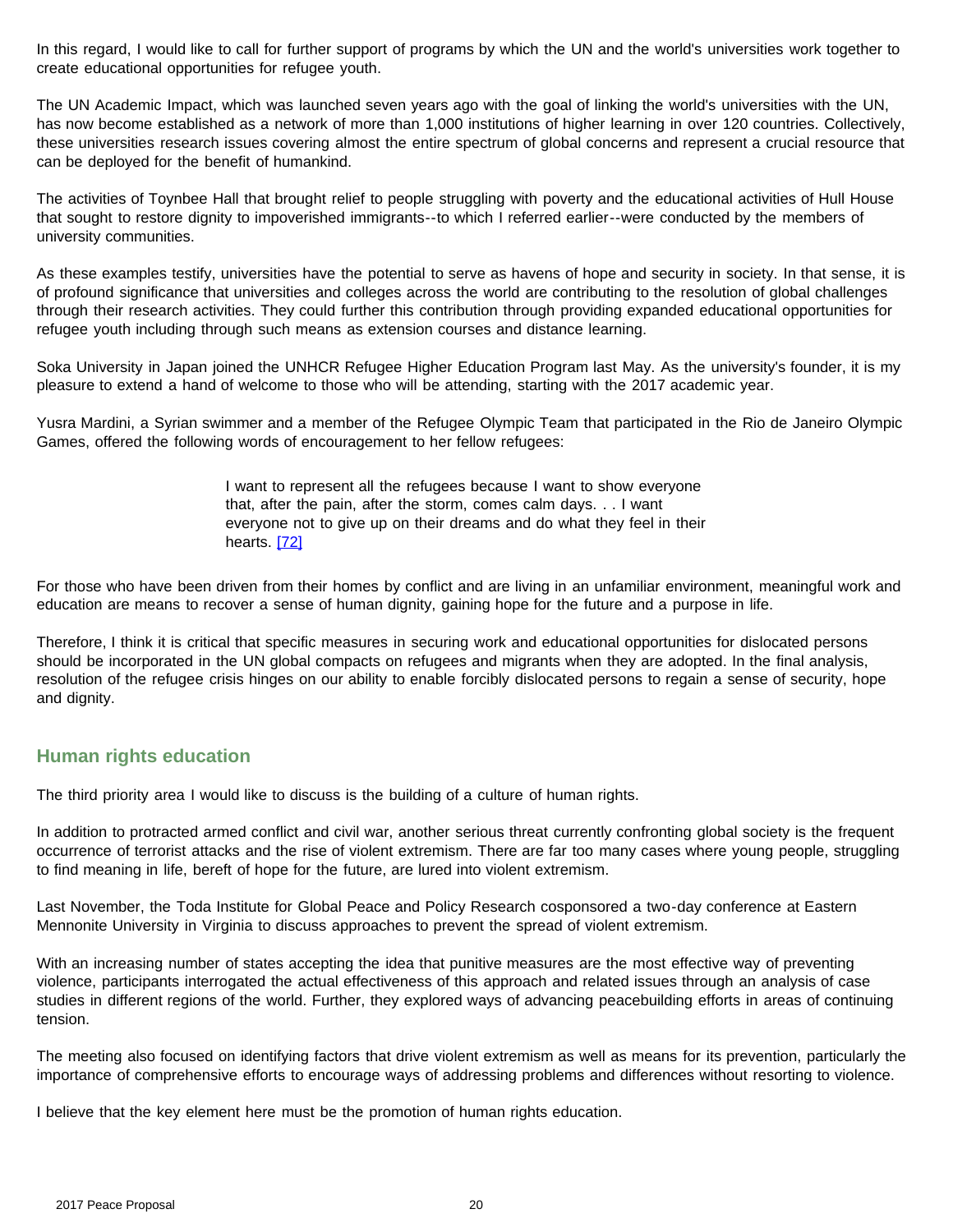In this regard, I would like to call for further support of programs by which the UN and the world's universities work together to create educational opportunities for refugee youth.

The UN Academic Impact, which was launched seven years ago with the goal of linking the world's universities with the UN, has now become established as a network of more than 1,000 institutions of higher learning in over 120 countries. Collectively, these universities research issues covering almost the entire spectrum of global concerns and represent a crucial resource that can be deployed for the benefit of humankind.

The activities of Toynbee Hall that brought relief to people struggling with poverty and the educational activities of Hull House that sought to restore dignity to impoverished immigrants--to which I referred earlier--were conducted by the members of university communities.

As these examples testify, universities have the potential to serve as havens of hope and security in society. In that sense, it is of profound significance that universities and colleges across the world are contributing to the resolution of global challenges through their research activities. They could further this contribution through providing expanded educational opportunities for refugee youth including through such means as extension courses and distance learning.

Soka University in Japan joined the UNHCR Refugee Higher Education Program last May. As the university's founder, it is my pleasure to extend a hand of welcome to those who will be attending, starting with the 2017 academic year.

Yusra Mardini, a Syrian swimmer and a member of the Refugee Olympic Team that participated in the Rio de Janeiro Olympic Games, offered the following words of encouragement to her fellow refugees:

> I want to represent all the refugees because I want to show everyone that, after the pain, after the storm, comes calm days. . . I want everyone not to give up on their dreams and do what they feel in their hearts. [\[72\]](#page-24-1)

<span id="page-19-0"></span>For those who have been driven from their homes by conflict and are living in an unfamiliar environment, meaningful work and education are means to recover a sense of human dignity, gaining hope for the future and a purpose in life.

Therefore, I think it is critical that specific measures in securing work and educational opportunities for dislocated persons should be incorporated in the UN global compacts on refugees and migrants when they are adopted. In the final analysis, resolution of the refugee crisis hinges on our ability to enable forcibly dislocated persons to regain a sense of security, hope and dignity.

### **Human rights education**

The third priority area I would like to discuss is the building of a culture of human rights.

In addition to protracted armed conflict and civil war, another serious threat currently confronting global society is the frequent occurrence of terrorist attacks and the rise of violent extremism. There are far too many cases where young people, struggling to find meaning in life, bereft of hope for the future, are lured into violent extremism.

Last November, the Toda Institute for Global Peace and Policy Research cosponsored a two-day conference at Eastern Mennonite University in Virginia to discuss approaches to prevent the spread of violent extremism.

With an increasing number of states accepting the idea that punitive measures are the most effective way of preventing violence, participants interrogated the actual effectiveness of this approach and related issues through an analysis of case studies in different regions of the world. Further, they explored ways of advancing peacebuilding efforts in areas of continuing tension.

The meeting also focused on identifying factors that drive violent extremism as well as means for its prevention, particularly the importance of comprehensive efforts to encourage ways of addressing problems and differences without resorting to violence.

I believe that the key element here must be the promotion of human rights education.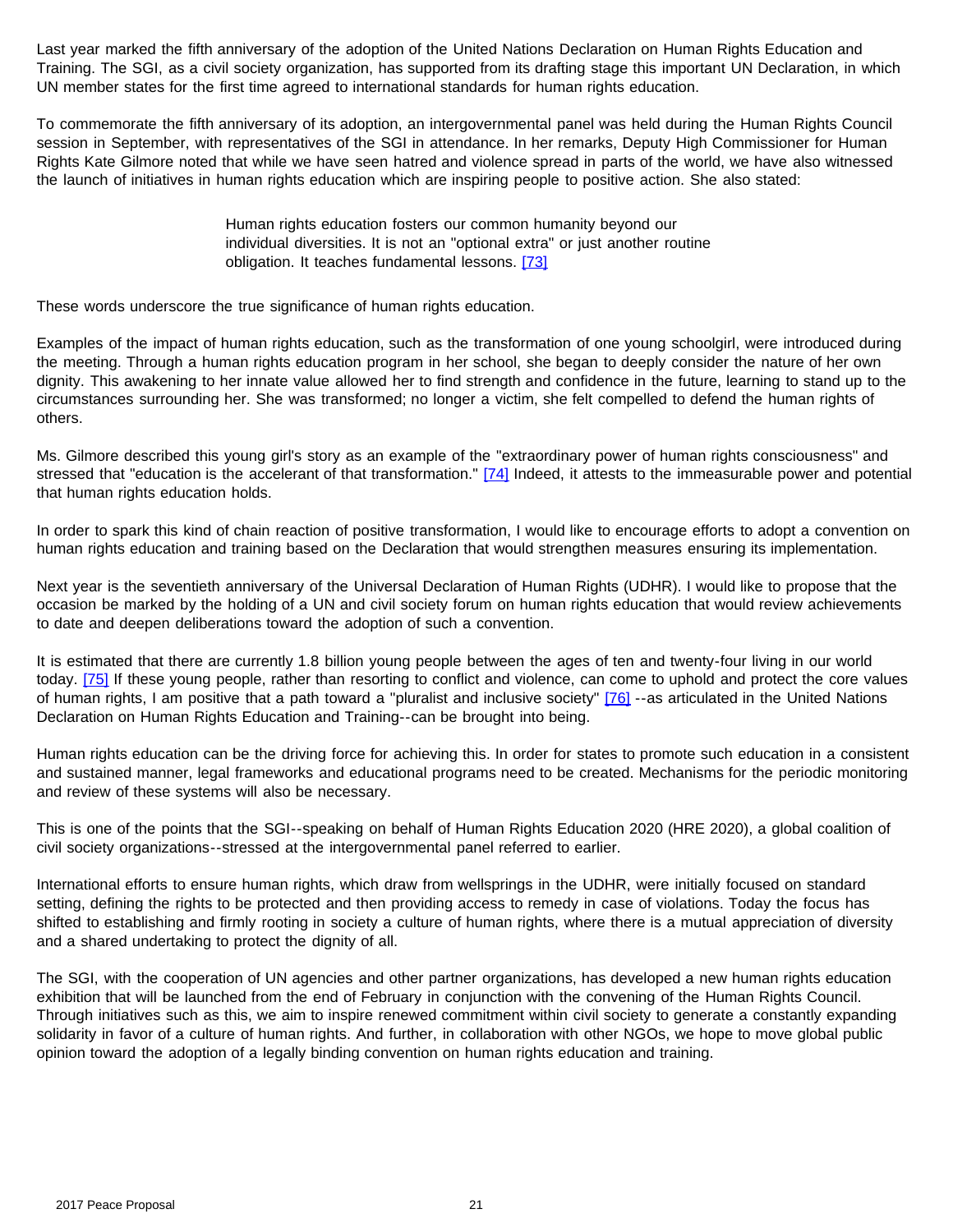Last year marked the fifth anniversary of the adoption of the United Nations Declaration on Human Rights Education and Training. The SGI, as a civil society organization, has supported from its drafting stage this important UN Declaration, in which UN member states for the first time agreed to international standards for human rights education.

To commemorate the fifth anniversary of its adoption, an intergovernmental panel was held during the Human Rights Council session in September, with representatives of the SGI in attendance. In her remarks, Deputy High Commissioner for Human Rights Kate Gilmore noted that while we have seen hatred and violence spread in parts of the world, we have also witnessed the launch of initiatives in human rights education which are inspiring people to positive action. She also stated:

> Human rights education fosters our common humanity beyond our individual diversities. It is not an "optional extra" or just another routine obligation. It teaches fundamental lessons. [\[73\]](#page-24-1)

<span id="page-20-0"></span>These words underscore the true significance of human rights education.

Examples of the impact of human rights education, such as the transformation of one young schoolgirl, were introduced during the meeting. Through a human rights education program in her school, she began to deeply consider the nature of her own dignity. This awakening to her innate value allowed her to find strength and confidence in the future, learning to stand up to the circumstances surrounding her. She was transformed; no longer a victim, she felt compelled to defend the human rights of others.

<span id="page-20-1"></span>Ms. Gilmore described this young girl's story as an example of the "extraordinary power of human rights consciousness" and stressed that "education is the accelerant of that transformation." [\[74\]](#page-24-1) Indeed, it attests to the immeasurable power and potential that human rights education holds.

In order to spark this kind of chain reaction of positive transformation, I would like to encourage efforts to adopt a convention on human rights education and training based on the Declaration that would strengthen measures ensuring its implementation.

Next year is the seventieth anniversary of the Universal Declaration of Human Rights (UDHR). I would like to propose that the occasion be marked by the holding of a UN and civil society forum on human rights education that would review achievements to date and deepen deliberations toward the adoption of such a convention.

<span id="page-20-3"></span><span id="page-20-2"></span>It is estimated that there are currently 1.8 billion young people between the ages of ten and twenty-four living in our world today. [\[75\]](#page-24-1) If these young people, rather than resorting to conflict and violence, can come to uphold and protect the core values of human rights, I am positive that a path toward a "pluralist and inclusive society" [\[76\]](#page-24-1) --as articulated in the United Nations Declaration on Human Rights Education and Training--can be brought into being.

Human rights education can be the driving force for achieving this. In order for states to promote such education in a consistent and sustained manner, legal frameworks and educational programs need to be created. Mechanisms for the periodic monitoring and review of these systems will also be necessary.

This is one of the points that the SGI--speaking on behalf of Human Rights Education 2020 (HRE 2020), a global coalition of civil society organizations--stressed at the intergovernmental panel referred to earlier.

International efforts to ensure human rights, which draw from wellsprings in the UDHR, were initially focused on standard setting, defining the rights to be protected and then providing access to remedy in case of violations. Today the focus has shifted to establishing and firmly rooting in society a culture of human rights, where there is a mutual appreciation of diversity and a shared undertaking to protect the dignity of all.

The SGI, with the cooperation of UN agencies and other partner organizations, has developed a new human rights education exhibition that will be launched from the end of February in conjunction with the convening of the Human Rights Council. Through initiatives such as this, we aim to inspire renewed commitment within civil society to generate a constantly expanding solidarity in favor of a culture of human rights. And further, in collaboration with other NGOs, we hope to move global public opinion toward the adoption of a legally binding convention on human rights education and training.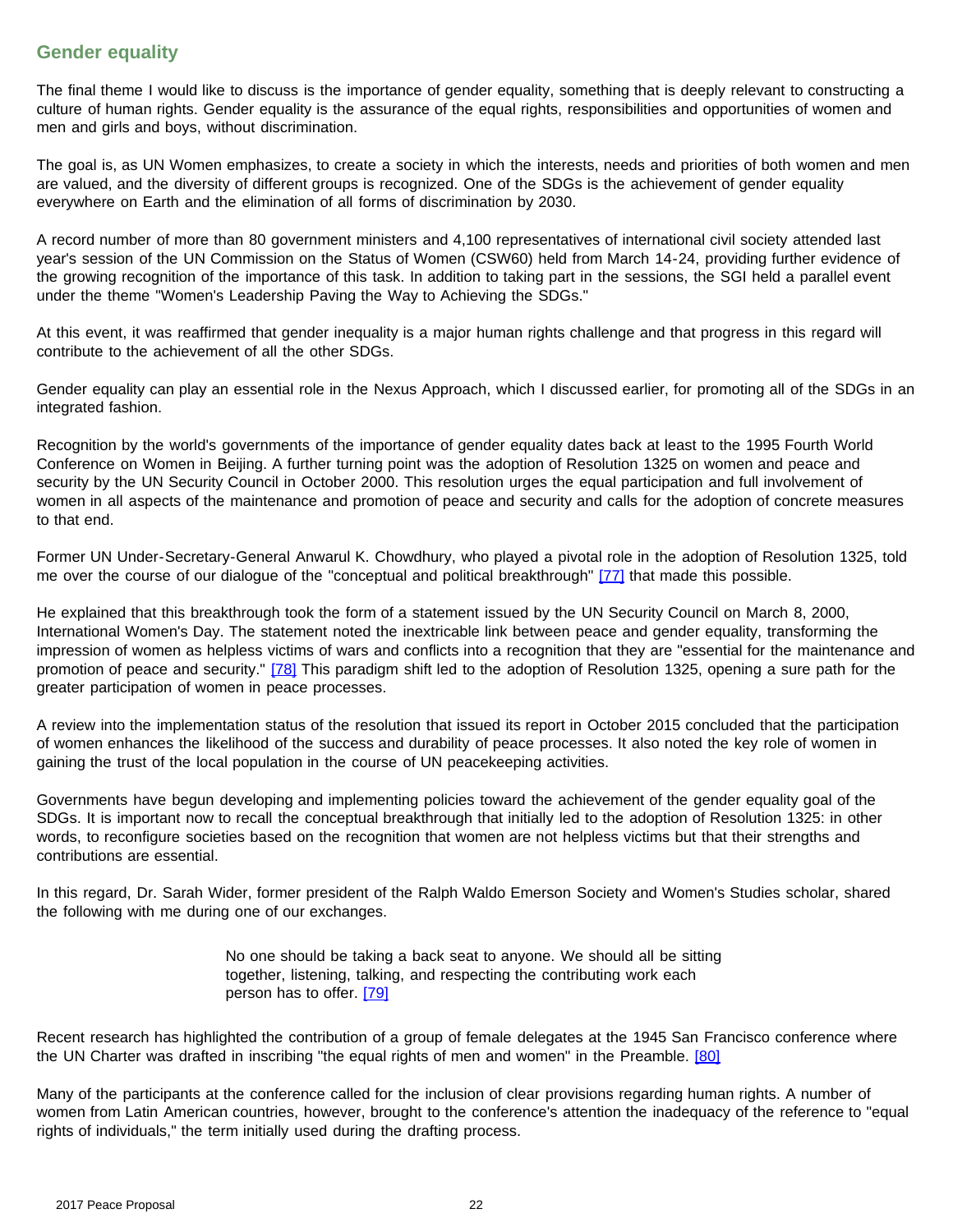### **Gender equality**

The final theme I would like to discuss is the importance of gender equality, something that is deeply relevant to constructing a culture of human rights. Gender equality is the assurance of the equal rights, responsibilities and opportunities of women and men and girls and boys, without discrimination.

The goal is, as UN Women emphasizes, to create a society in which the interests, needs and priorities of both women and men are valued, and the diversity of different groups is recognized. One of the SDGs is the achievement of gender equality everywhere on Earth and the elimination of all forms of discrimination by 2030.

A record number of more than 80 government ministers and 4,100 representatives of international civil society attended last year's session of the UN Commission on the Status of Women (CSW60) held from March 14-24, providing further evidence of the growing recognition of the importance of this task. In addition to taking part in the sessions, the SGI held a parallel event under the theme "Women's Leadership Paving the Way to Achieving the SDGs."

At this event, it was reaffirmed that gender inequality is a major human rights challenge and that progress in this regard will contribute to the achievement of all the other SDGs.

Gender equality can play an essential role in the Nexus Approach, which I discussed earlier, for promoting all of the SDGs in an integrated fashion.

Recognition by the world's governments of the importance of gender equality dates back at least to the 1995 Fourth World Conference on Women in Beijing. A further turning point was the adoption of Resolution 1325 on women and peace and security by the UN Security Council in October 2000. This resolution urges the equal participation and full involvement of women in all aspects of the maintenance and promotion of peace and security and calls for the adoption of concrete measures to that end.

<span id="page-21-0"></span>Former UN Under-Secretary-General Anwarul K. Chowdhury, who played a pivotal role in the adoption of Resolution 1325, told me over the course of our dialogue of the "conceptual and political breakthrough" [\[77\]](#page-24-1) that made this possible.

<span id="page-21-1"></span>He explained that this breakthrough took the form of a statement issued by the UN Security Council on March 8, 2000, International Women's Day. The statement noted the inextricable link between peace and gender equality, transforming the impression of women as helpless victims of wars and conflicts into a recognition that they are "essential for the maintenance and promotion of peace and security." [\[78\]](#page-24-1) This paradigm shift led to the adoption of Resolution 1325, opening a sure path for the greater participation of women in peace processes.

A review into the implementation status of the resolution that issued its report in October 2015 concluded that the participation of women enhances the likelihood of the success and durability of peace processes. It also noted the key role of women in gaining the trust of the local population in the course of UN peacekeeping activities.

Governments have begun developing and implementing policies toward the achievement of the gender equality goal of the SDGs. It is important now to recall the conceptual breakthrough that initially led to the adoption of Resolution 1325: in other words, to reconfigure societies based on the recognition that women are not helpless victims but that their strengths and contributions are essential.

In this regard, Dr. Sarah Wider, former president of the Ralph Waldo Emerson Society and Women's Studies scholar, shared the following with me during one of our exchanges.

> No one should be taking a back seat to anyone. We should all be sitting together, listening, talking, and respecting the contributing work each person has to offer. [\[79\]](#page-24-1)

<span id="page-21-3"></span><span id="page-21-2"></span>Recent research has highlighted the contribution of a group of female delegates at the 1945 San Francisco conference where the UN Charter was drafted in inscribing "the equal rights of men and women" in the Preamble. [\[80\]](#page-24-2)

Many of the participants at the conference called for the inclusion of clear provisions regarding human rights. A number of women from Latin American countries, however, brought to the conference's attention the inadequacy of the reference to "equal rights of individuals," the term initially used during the drafting process.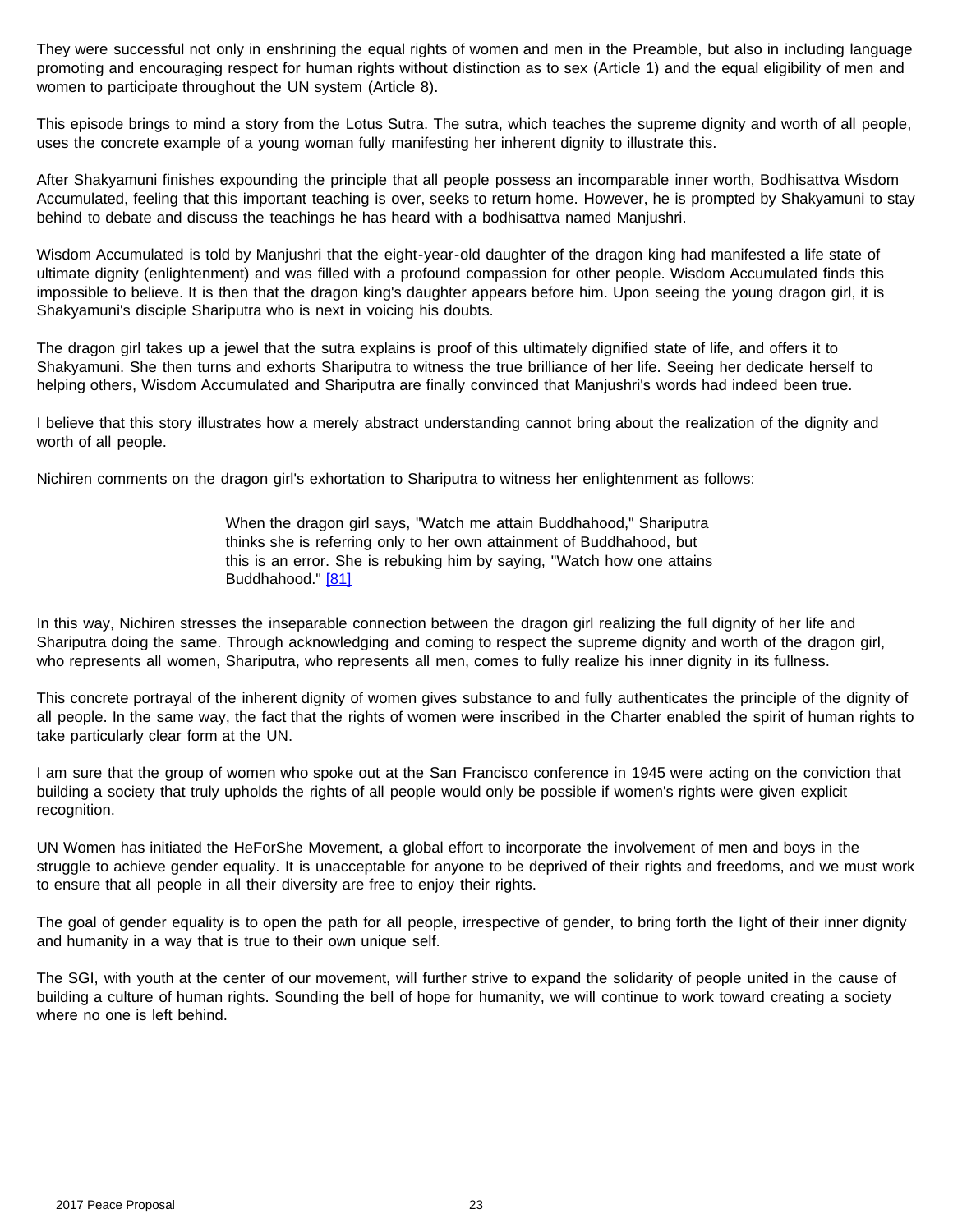They were successful not only in enshrining the equal rights of women and men in the Preamble, but also in including language promoting and encouraging respect for human rights without distinction as to sex (Article 1) and the equal eligibility of men and women to participate throughout the UN system (Article 8).

This episode brings to mind a story from the Lotus Sutra. The sutra, which teaches the supreme dignity and worth of all people, uses the concrete example of a young woman fully manifesting her inherent dignity to illustrate this.

After Shakyamuni finishes expounding the principle that all people possess an incomparable inner worth, Bodhisattva Wisdom Accumulated, feeling that this important teaching is over, seeks to return home. However, he is prompted by Shakyamuni to stay behind to debate and discuss the teachings he has heard with a bodhisattva named Manjushri.

Wisdom Accumulated is told by Manjushri that the eight-year-old daughter of the dragon king had manifested a life state of ultimate dignity (enlightenment) and was filled with a profound compassion for other people. Wisdom Accumulated finds this impossible to believe. It is then that the dragon king's daughter appears before him. Upon seeing the young dragon girl, it is Shakyamuni's disciple Shariputra who is next in voicing his doubts.

The dragon girl takes up a jewel that the sutra explains is proof of this ultimately dignified state of life, and offers it to Shakyamuni. She then turns and exhorts Shariputra to witness the true brilliance of her life. Seeing her dedicate herself to helping others, Wisdom Accumulated and Shariputra are finally convinced that Manjushri's words had indeed been true.

I believe that this story illustrates how a merely abstract understanding cannot bring about the realization of the dignity and worth of all people.

Nichiren comments on the dragon girl's exhortation to Shariputra to witness her enlightenment as follows:

When the dragon girl says, "Watch me attain Buddhahood," Shariputra thinks she is referring only to her own attainment of Buddhahood, but this is an error. She is rebuking him by saying, "Watch how one attains Buddhahood." [\[81\]](#page-24-2)

<span id="page-22-0"></span>In this way, Nichiren stresses the inseparable connection between the dragon girl realizing the full dignity of her life and Shariputra doing the same. Through acknowledging and coming to respect the supreme dignity and worth of the dragon girl, who represents all women, Shariputra, who represents all men, comes to fully realize his inner dignity in its fullness.

This concrete portrayal of the inherent dignity of women gives substance to and fully authenticates the principle of the dignity of all people. In the same way, the fact that the rights of women were inscribed in the Charter enabled the spirit of human rights to take particularly clear form at the UN.

I am sure that the group of women who spoke out at the San Francisco conference in 1945 were acting on the conviction that building a society that truly upholds the rights of all people would only be possible if women's rights were given explicit recognition.

UN Women has initiated the HeForShe Movement, a global effort to incorporate the involvement of men and boys in the struggle to achieve gender equality. It is unacceptable for anyone to be deprived of their rights and freedoms, and we must work to ensure that all people in all their diversity are free to enjoy their rights.

The goal of gender equality is to open the path for all people, irrespective of gender, to bring forth the light of their inner dignity and humanity in a way that is true to their own unique self.

The SGI, with youth at the center of our movement, will further strive to expand the solidarity of people united in the cause of building a culture of human rights. Sounding the bell of hope for humanity, we will continue to work toward creating a society where no one is left behind.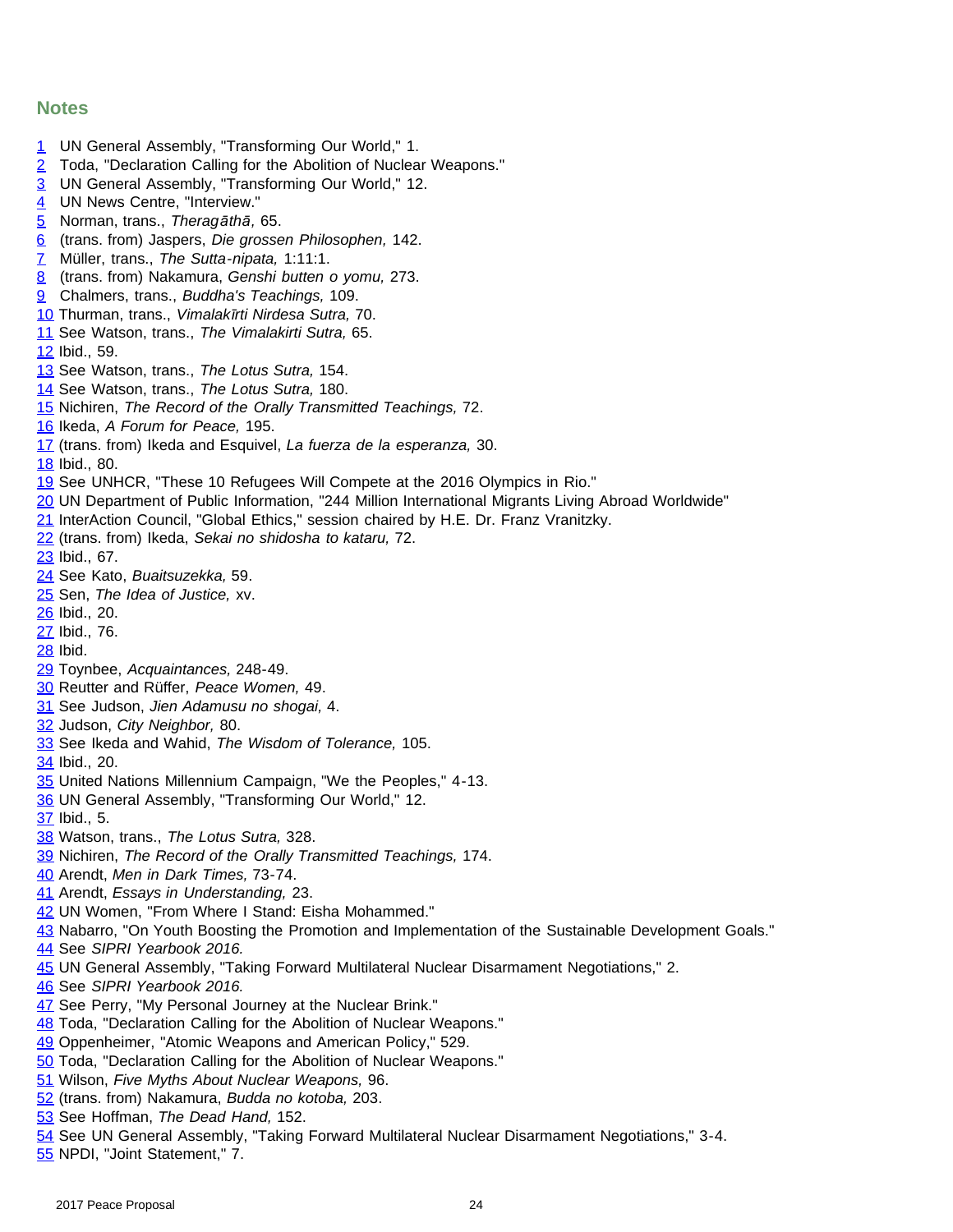#### **Notes**

- <span id="page-23-0"></span>UN General Assembly, "Transforming Our World," 1.
- Toda, "Declaration Calling for the Abolition of Nuclear Weapons."
- UN General Assembly, "Transforming Our World," 12.
- UN News Centre, "Interview."
- Norman, trans., *Theragāthā,* 65.
- (trans. from) Jaspers, *Die grossen Philosophen,* 142.
- Müller, trans., *The Sutta-nipata,* 1:11:1.
- (trans. from) Nakamura, *Genshi butten o yomu,* 273.
- Chalmers, trans., *Buddha's Teachings,* 109.
- <span id="page-23-1"></span>Thurman, trans., *Vimalakīrti Nirdesa Sutra,* 70.
- See Watson, trans., *The Vimalakirti Sutra,* 65.
- Ibid., 59.
- See Watson, trans., *The Lotus Sutra,* 154.
- See Watson, trans., *The Lotus Sutra,* 180.
- Nichiren, *The Record of the Orally Transmitted Teachings,* 72.
- Ikeda, *A Forum for Peace,* 195.
- (trans. from) Ikeda and Esquivel, *La fuerza de la esperanza,* 30.
- Ibid., 80.
- See UNHCR, "These 10 Refugees Will Compete at the 2016 Olympics in Rio."
- <span id="page-23-2"></span>UN Department of Public Information, "244 Million International Migrants Living Abroad Worldwide"
- InterAction Council, "Global Ethics," session chaired by H.E. Dr. Franz Vranitzky.
- (trans. from) Ikeda, *Sekai no shidosha to kataru,* 72.
- Ibid., 67.
- See Kato, *Buaitsuzekka,* 59.
- Sen, *The Idea of Justice,* xv.
- Ibid., 20.
- Ibid., 76.
- Ibid.
- Toynbee, *Acquaintances,* 248-49.
- <span id="page-23-3"></span>Reutter and Rüffer, *Peace Women,* 49.
- See Judson, *Jien Adamusu no shogai,* 4.
- Judson, *City Neighbor,* 80.
- See Ikeda and Wahid, *The Wisdom of Tolerance,* 105.
- Ibid., 20.
- United Nations Millennium Campaign, "We the Peoples," 4-13.
- UN General Assembly, "Transforming Our World," 12.
- Ibid., 5.
- Watson, trans., *The Lotus Sutra,* 328.
- Nichiren, *The Record of the Orally Transmitted Teachings,* 174.
- <span id="page-23-4"></span>Arendt, *Men in Dark Times,* 73-74.
- Arendt, *Essays in Understanding,* 23.
- UN Women, "From Where I Stand: Eisha Mohammed."
- Nabarro, "On Youth Boosting the Promotion and Implementation of the Sustainable Development Goals."
- See *SIPRI Yearbook 2016.*
- UN General Assembly, "Taking Forward Multilateral Nuclear Disarmament Negotiations," 2.
- See *SIPRI Yearbook 2016.*
- See Perry, "My Personal Journey at the Nuclear Brink."
- Toda, "Declaration Calling for the Abolition of Nuclear Weapons."
- Oppenheimer, "Atomic Weapons and American Policy," 529.
- <span id="page-23-5"></span>Toda, "Declaration Calling for the Abolition of Nuclear Weapons."
- Wilson, *Five Myths About Nuclear Weapons,* 96.
- (trans. from) Nakamura, *Budda no kotoba,* 203.
- See Hoffman, *The Dead Hand,* 152.
- See UN General Assembly, "Taking Forward Multilateral Nuclear Disarmament Negotiations," 3-4.
- NPDI, "Joint Statement," 7.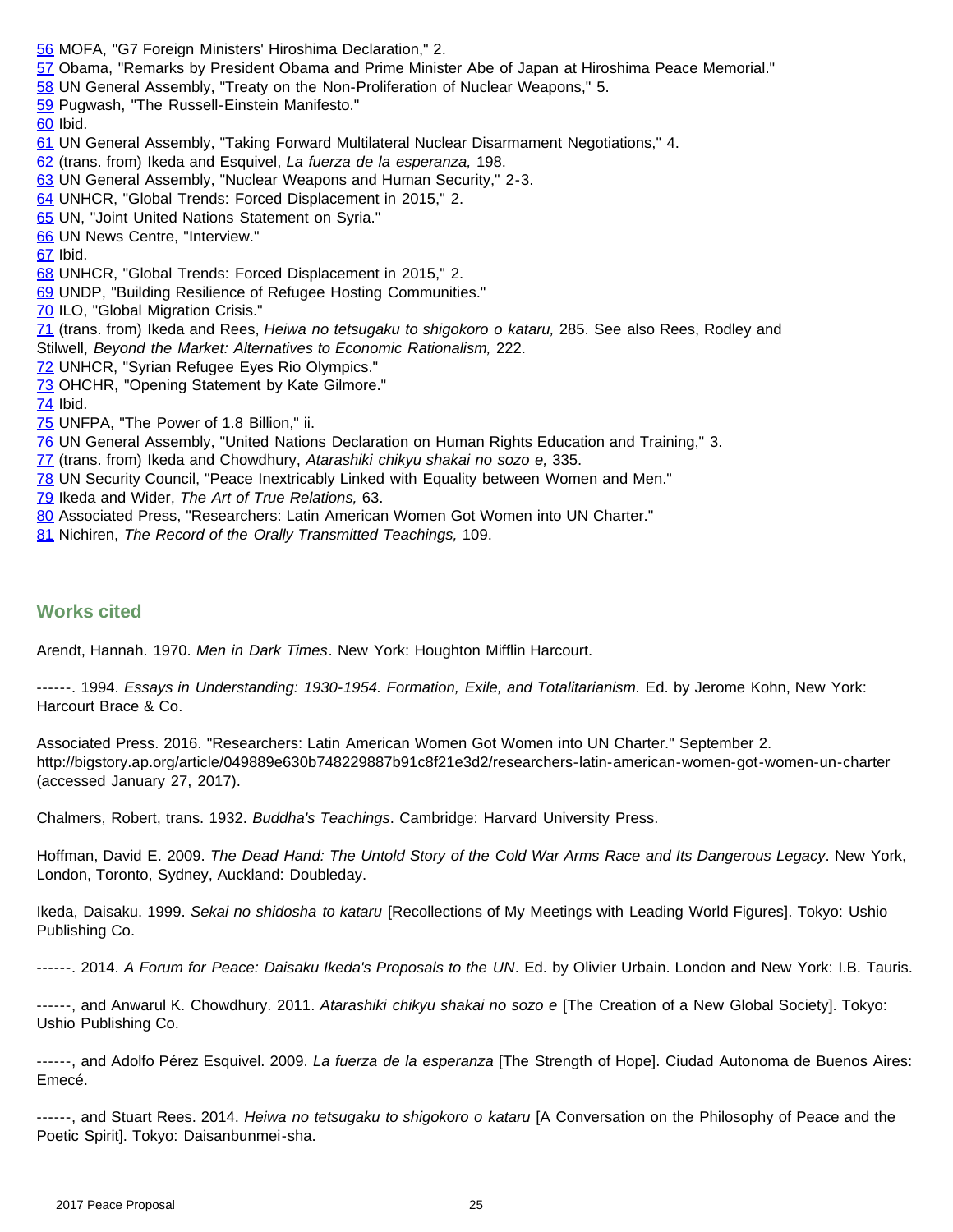- [56](#page-14-1) MOFA, "G7 Foreign Ministers' Hiroshima Declaration," 2.
- [57](#page-14-2) Obama, "Remarks by President Obama and Prime Minister Abe of Japan at Hiroshima Peace Memorial."
- [58](#page-14-3) UN General Assembly, "Treaty on the Non-Proliferation of Nuclear Weapons," 5.
- [59](#page-15-0) Pugwash, "The Russell-Einstein Manifesto."
- <span id="page-24-0"></span>[60](#page-15-1) Ibid.
- [61](#page-15-2) UN General Assembly, "Taking Forward Multilateral Nuclear Disarmament Negotiations," 4.
- [62](#page-16-0) (trans. from) Ikeda and Esquivel, *La fuerza de la esperanza,* 198.
- [63](#page-16-1) UN General Assembly, "Nuclear Weapons and Human Security," 2-3.
- [64](#page-16-2) UNHCR, "Global Trends: Forced Displacement in 2015," 2.
- [65](#page-16-3) UN, "Joint United Nations Statement on Syria."
- [66](#page-17-0) UN News Centre, "Interview."
- [67](#page-17-1) Ibid.
- [68](#page-17-2) UNHCR, "Global Trends: Forced Displacement in 2015," 2.
- [69](#page-17-3) UNDP, "Building Resilience of Refugee Hosting Communities."
- <span id="page-24-1"></span>[70](#page-18-0) ILO, "Global Migration Crisis."
- [71](#page-18-1) (trans. from) Ikeda and Rees, *Heiwa no tetsugaku to shigokoro o kataru,* 285. See also Rees, Rodley and Stilwell, *Beyond the Market: Alternatives to Economic Rationalism,* 222.
- [72](#page-19-0) UNHCR, "Syrian Refugee Eyes Rio Olympics."
- [73](#page-20-0) OHCHR, "Opening Statement by Kate Gilmore."
- [74](#page-20-1) Ibid.
- [75](#page-20-2) UNFPA, "The Power of 1.8 Billion," ii.
- [76](#page-20-3) UN General Assembly, "United Nations Declaration on Human Rights Education and Training," 3.
- [77](#page-21-0) (trans. from) Ikeda and Chowdhury, *Atarashiki chikyu shakai no sozo e,* 335.
- [78](#page-21-1) UN Security Council, "Peace Inextricably Linked with Equality between Women and Men."
- [79](#page-21-2) Ikeda and Wider, *The Art of True Relations,* 63.
- <span id="page-24-2"></span>[80](#page-21-3) Associated Press, "Researchers: Latin American Women Got Women into UN Charter."
- [81](#page-22-0) Nichiren, *The Record of the Orally Transmitted Teachings,* 109.

#### **Works cited**

Arendt, Hannah. 1970. *Men in Dark Times*. New York: Houghton Mifflin Harcourt.

------. 1994. *Essays in Understanding: 1930-1954. Formation, Exile, and Totalitarianism.* Ed. by Jerome Kohn, New York: Harcourt Brace & Co.

Associated Press. 2016. "Researchers: Latin American Women Got Women into UN Charter." September 2. http://bigstory.ap.org/article/049889e630b748229887b91c8f21e3d2/researchers-latin-american-women-got-women-un-charter (accessed January 27, 2017).

Chalmers, Robert, trans. 1932. *Buddha's Teachings*. Cambridge: Harvard University Press.

Hoffman, David E. 2009. *The Dead Hand: The Untold Story of the Cold War Arms Race and Its Dangerous Legacy*. New York, London, Toronto, Sydney, Auckland: Doubleday.

Ikeda, Daisaku. 1999. *Sekai no shidosha to kataru* [Recollections of My Meetings with Leading World Figures]. Tokyo: Ushio Publishing Co.

------. 2014. *A Forum for Peace: Daisaku Ikeda's Proposals to the UN*. Ed. by Olivier Urbain. London and New York: I.B. Tauris.

------, and Anwarul K. Chowdhury. 2011. *Atarashiki chikyu shakai no sozo e* [The Creation of a New Global Society]. Tokyo: Ushio Publishing Co.

------, and Adolfo Pérez Esquivel. 2009. *La fuerza de la esperanza* [The Strength of Hope]. Ciudad Autonoma de Buenos Aires: Emecé.

------, and Stuart Rees. 2014. *Heiwa no tetsugaku to shigokoro o kataru* [A Conversation on the Philosophy of Peace and the Poetic Spirit]. Tokyo: Daisanbunmei-sha.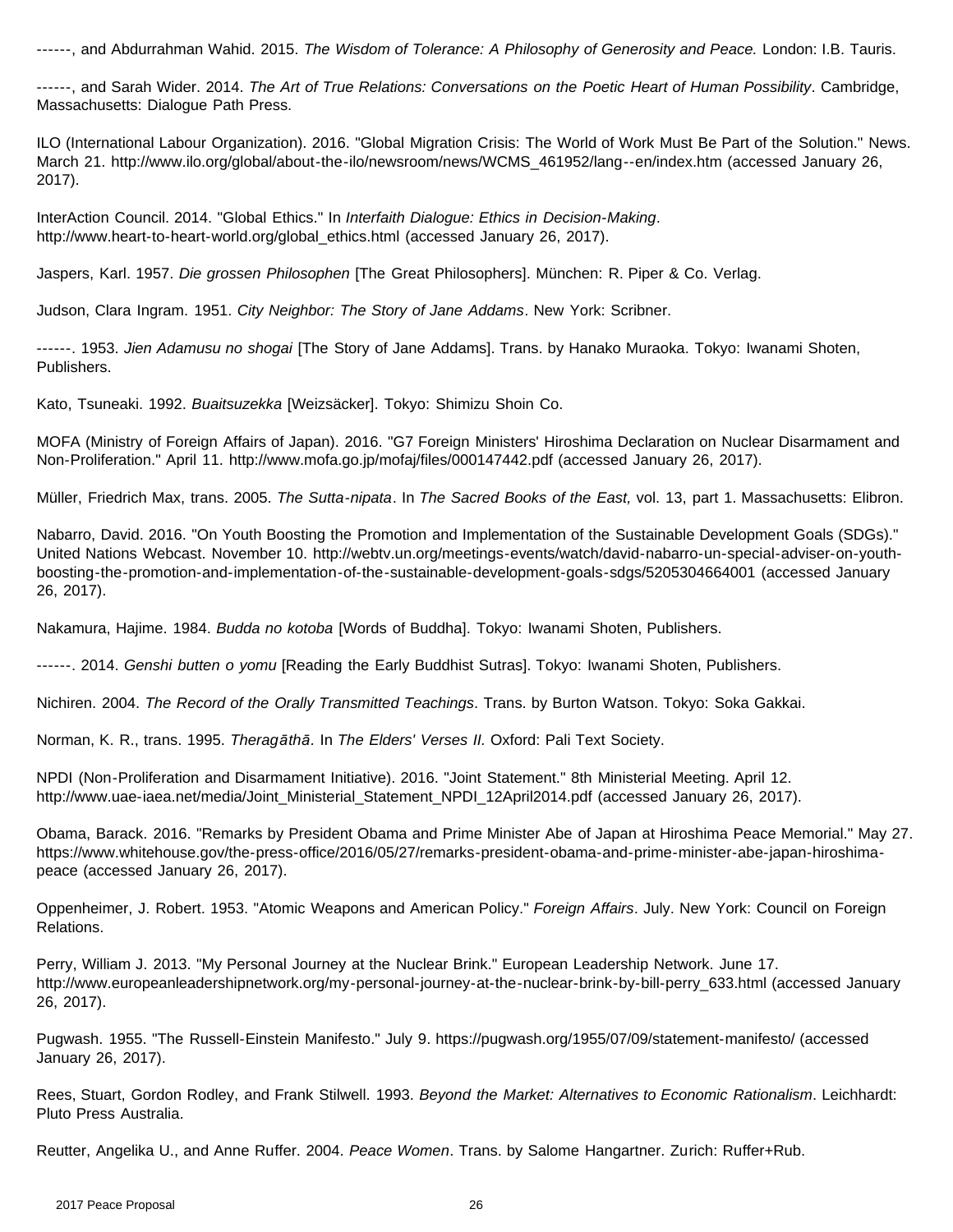------, and Abdurrahman Wahid. 2015. *The Wisdom of Tolerance: A Philosophy of Generosity and Peace.* London: I.B. Tauris.

------, and Sarah Wider. 2014. *The Art of True Relations: Conversations on the Poetic Heart of Human Possibility*. Cambridge, Massachusetts: Dialogue Path Press.

ILO (International Labour Organization). 2016. "Global Migration Crisis: The World of Work Must Be Part of the Solution." News. March 21. http://www.ilo.org/global/about-the-ilo/newsroom/news/WCMS\_461952/lang--en/index.htm (accessed January 26, 2017).

InterAction Council. 2014. "Global Ethics." In *Interfaith Dialogue: Ethics in Decision-Making*. http://www.heart-to-heart-world.org/global\_ethics.html (accessed January 26, 2017).

Jaspers, Karl. 1957. *Die grossen Philosophen* [The Great Philosophers]. München: R. Piper & Co. Verlag.

Judson, Clara Ingram. 1951. *City Neighbor: The Story of Jane Addams*. New York: Scribner.

------. 1953. *Jien Adamusu no shogai* [The Story of Jane Addams]. Trans. by Hanako Muraoka. Tokyo: Iwanami Shoten, Publishers.

Kato, Tsuneaki. 1992. *Buaitsuzekka* [Weizsäcker]. Tokyo: Shimizu Shoin Co.

MOFA (Ministry of Foreign Affairs of Japan). 2016. "G7 Foreign Ministers' Hiroshima Declaration on Nuclear Disarmament and Non-Proliferation." April 11. http://www.mofa.go.jp/mofaj/files/000147442.pdf (accessed January 26, 2017).

Müller, Friedrich Max, trans. 2005. *The Sutta-nipata*. In *The Sacred Books of the East,* vol. 13, part 1. Massachusetts: Elibron.

Nabarro, David. 2016. "On Youth Boosting the Promotion and Implementation of the Sustainable Development Goals (SDGs)." United Nations Webcast. November 10. http://webtv.un.org/meetings-events/watch/david-nabarro-un-special-adviser-on-youthboosting-the-promotion-and-implementation-of-the-sustainable-development-goals-sdgs/5205304664001 (accessed January 26, 2017).

Nakamura, Hajime. 1984. *Budda no kotoba* [Words of Buddha]. Tokyo: Iwanami Shoten, Publishers.

------. 2014. *Genshi butten o yomu* [Reading the Early Buddhist Sutras]. Tokyo: Iwanami Shoten, Publishers.

Nichiren. 2004. *The Record of the Orally Transmitted Teachings*. Trans. by Burton Watson. Tokyo: Soka Gakkai.

Norman, K. R., trans. 1995. *Theragāthā.* In *The Elders' Verses II.* Oxford: Pali Text Society.

NPDI (Non-Proliferation and Disarmament Initiative). 2016. "Joint Statement." 8th Ministerial Meeting. April 12. http://www.uae-iaea.net/media/Joint\_Ministerial\_Statement\_NPDI\_12April2014.pdf (accessed January 26, 2017).

Obama, Barack. 2016. "Remarks by President Obama and Prime Minister Abe of Japan at Hiroshima Peace Memorial." May 27. https://www.whitehouse.gov/the-press-office/2016/05/27/remarks-president-obama-and-prime-minister-abe-japan-hiroshimapeace (accessed January 26, 2017).

Oppenheimer, J. Robert. 1953. "Atomic Weapons and American Policy." *Foreign Affairs*. July. New York: Council on Foreign Relations.

Perry, William J. 2013. "My Personal Journey at the Nuclear Brink." European Leadership Network. June 17. http://www.europeanleadershipnetwork.org/my-personal-journey-at-the-nuclear-brink-by-bill-perry\_633.html (accessed January 26, 2017).

Pugwash. 1955. "The Russell-Einstein Manifesto." July 9. https://pugwash.org/1955/07/09/statement-manifesto/ (accessed January 26, 2017).

Rees, Stuart, Gordon Rodley, and Frank Stilwell. 1993. *Beyond the Market: Alternatives to Economic Rationalism*. Leichhardt: Pluto Press Australia.

Reutter, Angelika U., and Anne Ruffer. 2004. *Peace Women*. Trans. by Salome Hangartner. Zurich: Ruffer+Rub.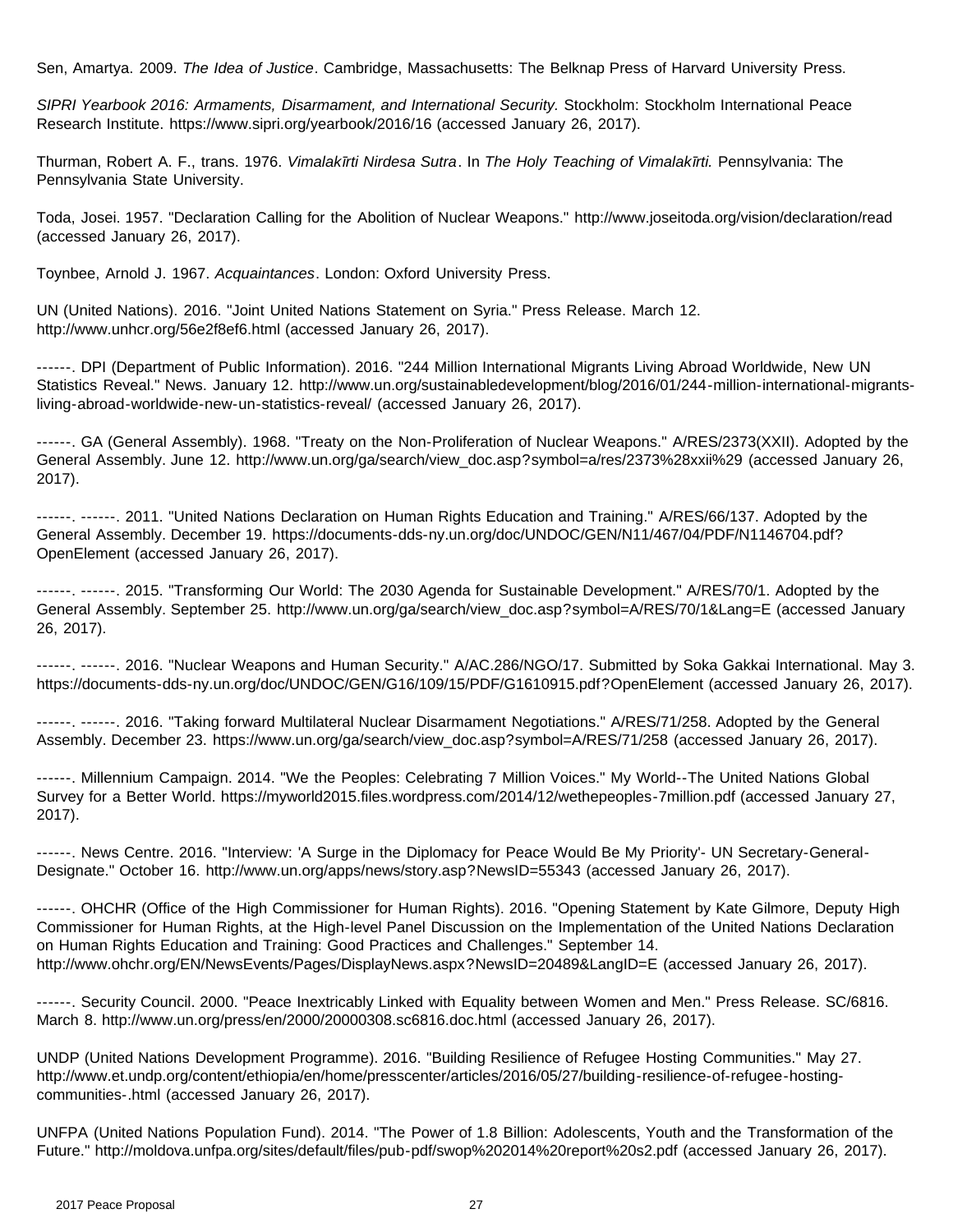Sen, Amartya. 2009. *The Idea of Justice*. Cambridge, Massachusetts: The Belknap Press of Harvard University Press.

*SIPRI Yearbook 2016: Armaments, Disarmament, and International Security.* Stockholm: Stockholm International Peace Research Institute. https://www.sipri.org/yearbook/2016/16 (accessed January 26, 2017).

Thurman, Robert A. F., trans. 1976. *Vimalakīrti Nirdesa Sutra*. In *The Holy Teaching of Vimalakīrti.* Pennsylvania: The Pennsylvania State University.

Toda, Josei. 1957. "Declaration Calling for the Abolition of Nuclear Weapons." http://www.joseitoda.org/vision/declaration/read (accessed January 26, 2017).

Toynbee, Arnold J. 1967. *Acquaintances*. London: Oxford University Press.

UN (United Nations). 2016. "Joint United Nations Statement on Syria." Press Release. March 12. http://www.unhcr.org/56e2f8ef6.html (accessed January 26, 2017).

------. DPI (Department of Public Information). 2016. "244 Million International Migrants Living Abroad Worldwide, New UN Statistics Reveal." News. January 12. http://www.un.org/sustainabledevelopment/blog/2016/01/244-million-international-migrantsliving-abroad-worldwide-new-un-statistics-reveal/ (accessed January 26, 2017).

------. GA (General Assembly). 1968. "Treaty on the Non-Proliferation of Nuclear Weapons." A/RES/2373(XXII). Adopted by the General Assembly. June 12. http://www.un.org/ga/search/view\_doc.asp?symbol=a/res/2373%28xxii%29 (accessed January 26, 2017).

------. ------. 2011. "United Nations Declaration on Human Rights Education and Training." A/RES/66/137. Adopted by the General Assembly. December 19. https://documents-dds-ny.un.org/doc/UNDOC/GEN/N11/467/04/PDF/N1146704.pdf? OpenElement (accessed January 26, 2017).

------. ------. 2015. "Transforming Our World: The 2030 Agenda for Sustainable Development." A/RES/70/1. Adopted by the General Assembly. September 25. http://www.un.org/ga/search/view\_doc.asp?symbol=A/RES/70/1&Lang=E (accessed January 26, 2017).

------. ------. 2016. "Nuclear Weapons and Human Security." A/AC.286/NGO/17. Submitted by Soka Gakkai International. May 3. https://documents-dds-ny.un.org/doc/UNDOC/GEN/G16/109/15/PDF/G1610915.pdf?OpenElement (accessed January 26, 2017).

------. ------. 2016. "Taking forward Multilateral Nuclear Disarmament Negotiations." A/RES/71/258. Adopted by the General Assembly. December 23. https://www.un.org/ga/search/view\_doc.asp?symbol=A/RES/71/258 (accessed January 26, 2017).

------. Millennium Campaign. 2014. "We the Peoples: Celebrating 7 Million Voices." My World--The United Nations Global Survey for a Better World. https://myworld2015.files.wordpress.com/2014/12/wethepeoples-7million.pdf (accessed January 27, 2017).

------. News Centre. 2016. "Interview: 'A Surge in the Diplomacy for Peace Would Be My Priority'- UN Secretary-General-Designate." October 16. http://www.un.org/apps/news/story.asp?NewsID=55343 (accessed January 26, 2017).

------. OHCHR (Office of the High Commissioner for Human Rights). 2016. "Opening Statement by Kate Gilmore, Deputy High Commissioner for Human Rights, at the High-level Panel Discussion on the Implementation of the United Nations Declaration on Human Rights Education and Training: Good Practices and Challenges." September 14. http://www.ohchr.org/EN/NewsEvents/Pages/DisplayNews.aspx?NewsID=20489&LangID=E (accessed January 26, 2017).

------. Security Council. 2000. "Peace Inextricably Linked with Equality between Women and Men." Press Release. SC/6816. March 8. http://www.un.org/press/en/2000/20000308.sc6816.doc.html (accessed January 26, 2017).

UNDP (United Nations Development Programme). 2016. "Building Resilience of Refugee Hosting Communities." May 27. http://www.et.undp.org/content/ethiopia/en/home/presscenter/articles/2016/05/27/building-resilience-of-refugee-hostingcommunities-.html (accessed January 26, 2017).

UNFPA (United Nations Population Fund). 2014. "The Power of 1.8 Billion: Adolescents, Youth and the Transformation of the Future." http://moldova.unfpa.org/sites/default/files/pub-pdf/swop%202014%20report%20s2.pdf (accessed January 26, 2017).